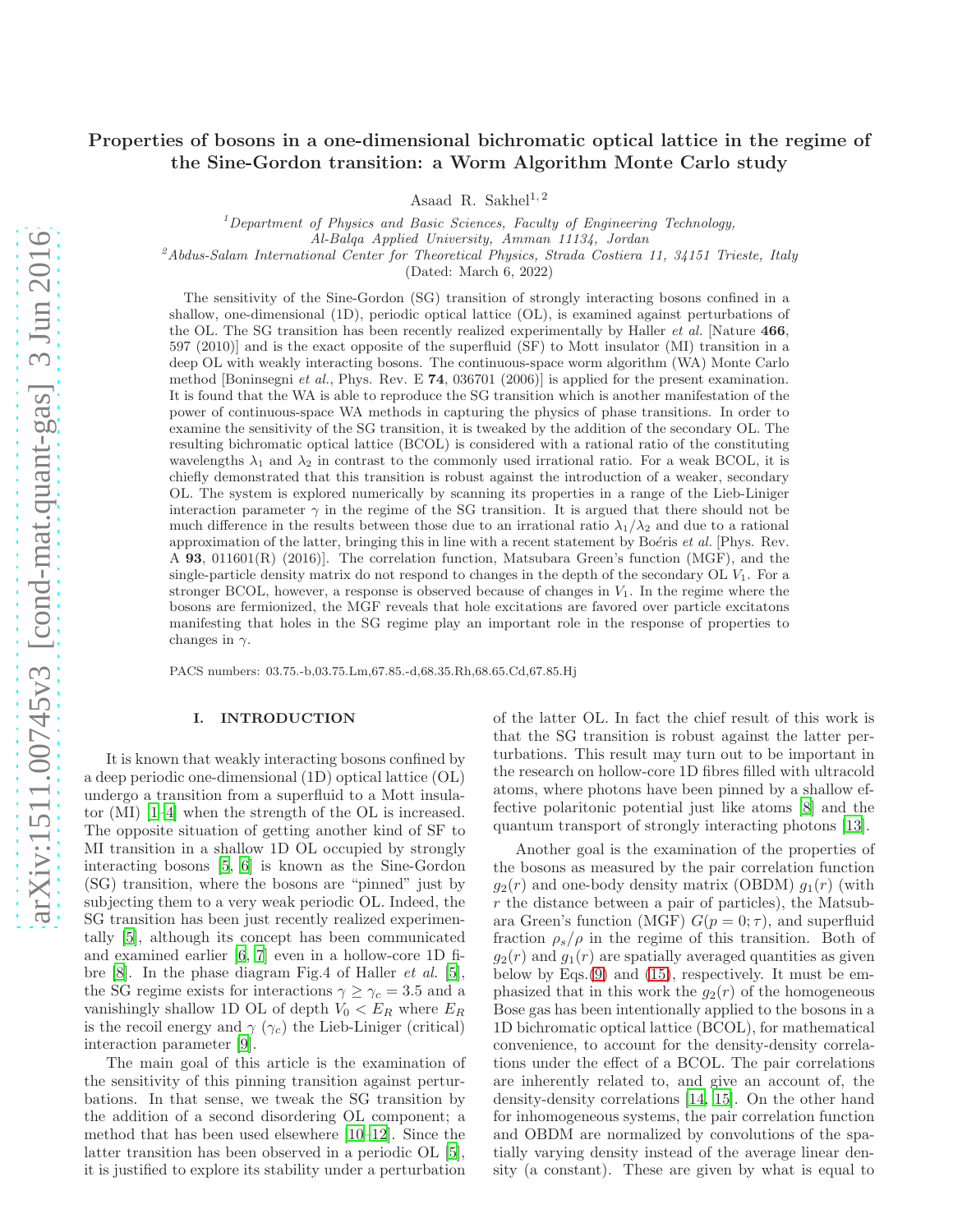# Properties of bosons in a one-dimensional bichromatic optical lattice in the regime of the Sine-Gordon transition: a Worm Algorithm Monte Carlo study

Asaad R. Sakhel<sup>1,2</sup>

<sup>1</sup>*Department of Physics and Basic Sciences, Faculty of Engineering Technology,*

*Al-Balqa Applied University, Amman 11134, Jordan*

<sup>2</sup>*Abdus-Salam International Center for Theoretical Physics, Strada Costiera 11, 34151 Trieste, Italy*

(Dated: March 6, 2022)

The sensitivity of the Sine-Gordon (SG) transition of strongly interacting bosons confined in a shallow, one-dimensional (1D), periodic optical lattice (OL), is examined against perturbations of the OL. The SG transition has been recently realized experimentally by Haller *et al.* [Nature 466, 597 (2010)] and is the exact opposite of the superfluid (SF) to Mott insulator (MI) transition in a deep OL with weakly interacting bosons. The continuous-space worm algorithm (WA) Monte Carlo method [Boninsegni *et al.*, Phys. Rev. E 74, 036701 (2006)] is applied for the present examination. It is found that the WA is able to reproduce the SG transition which is another manifestation of the power of continuous-space WA methods in capturing the physics of phase transitions. In order to examine the sensitivity of the SG transition, it is tweaked by the addition of the secondary OL. The resulting bichromatic optical lattice (BCOL) is considered with a rational ratio of the constituting wavelengths  $\lambda_1$  and  $\lambda_2$  in contrast to the commonly used irrational ratio. For a weak BCOL, it is chiefly demonstrated that this transition is robust against the introduction of a weaker, secondary OL. The system is explored numerically by scanning its properties in a range of the Lieb-Liniger interaction parameter  $\gamma$  in the regime of the SG transition. It is argued that there should not be much difference in the results between those due to an irrational ratio  $\lambda_1/\lambda_2$  and due to a rational approximation of the latter, bringing this in line with a recent statement by Boéris *et al.* [Phys. Rev. A 93, 011601(R) (2016)]. The correlation function, Matsubara Green's function (MGF), and the single-particle density matrix do not respond to changes in the depth of the secondary  $OL$   $V_1$ . For a stronger BCOL, however, a response is observed because of changes in  $V_1$ . In the regime where the bosons are fermionized, the MGF reveals that hole excitations are favored over particle excitatons manifesting that holes in the SG regime play an important role in the response of properties to changes in  $\gamma$ .

PACS numbers: 03.75.-b,03.75.Lm,67.85.-d,68.35.Rh,68.65.Cd,67.85.Hj

### I. INTRODUCTION

It is known that weakly interacting bosons confined by a deep periodic one-dimensional (1D) optical lattice (OL) undergo a transition from a superfluid to a Mott insulator (MI) [\[1](#page-14-0)[–4\]](#page-14-1) when the strength of the OL is increased. The opposite situation of getting another kind of SF to MI transition in a shallow 1D OL occupied by strongly interacting bosons [\[5](#page-14-2), [6](#page-14-3)] is known as the Sine-Gordon (SG) transition, where the bosons are "pinned" just by subjecting them to a very weak periodic OL. Indeed, the SG transition has been just recently realized experimentally [\[5](#page-14-2)], although its concept has been communicated and examined earlier [\[6](#page-14-3), [7\]](#page-14-4) even in a hollow-core 1D fibre [\[8\]](#page-14-5). In the phase diagram Fig.4 of Haller et al. [\[5\]](#page-14-2), the SG regime exists for interactions  $\gamma \geq \gamma_c = 3.5$  and a vanishingly shallow 1D OL of depth  $V_0 < E_R$  where  $E_R$ is the recoil energy and  $\gamma$  ( $\gamma_c$ ) the Lieb-Liniger (critical) interaction parameter [\[9\]](#page-14-6).

The main goal of this article is the examination of the sensitivity of this pinning transition against perturbations. In that sense, we tweak the SG transition by the addition of a second disordering OL component; a method that has been used elsewhere [\[10](#page-15-0)[–12\]](#page-15-1). Since the latter transition has been observed in a periodic OL [\[5\]](#page-14-2), it is justified to explore its stability under a perturbation

of the latter OL. In fact the chief result of this work is that the SG transition is robust against the latter perturbations. This result may turn out to be important in the research on hollow-core 1D fibres filled with ultracold atoms, where photons have been pinned by a shallow effective polaritonic potential just like atoms [\[8](#page-14-5)] and the quantum transport of strongly interacting photons [\[13\]](#page-15-2).

Another goal is the examination of the properties of the bosons as measured by the pair correlation function  $g_2(r)$  and one-body density matrix (OBDM)  $g_1(r)$  (with r the distance between a pair of particles), the Matsubara Green's function (MGF)  $G(p = 0; \tau)$ , and superfluid fraction  $\rho_s/\rho$  in the regime of this transition. Both of  $g_2(r)$  and  $g_1(r)$  are spatially averaged quantities as given below by Eqs.[\(9\)](#page-2-0) and [\(15\)](#page-3-0), respectively. It must be emphasized that in this work the  $g_2(r)$  of the homogeneous Bose gas has been intentionally applied to the bosons in a 1D bichromatic optical lattice (BCOL), for mathematical convenience, to account for the density-density correlations under the effect of a BCOL. The pair correlations are inherently related to, and give an account of, the density-density correlations [\[14,](#page-15-3) [15](#page-15-4)]. On the other hand for inhomogeneous systems, the pair correlation function and OBDM are normalized by convolutions of the spatially varying density instead of the average linear density (a constant). These are given by what is equal to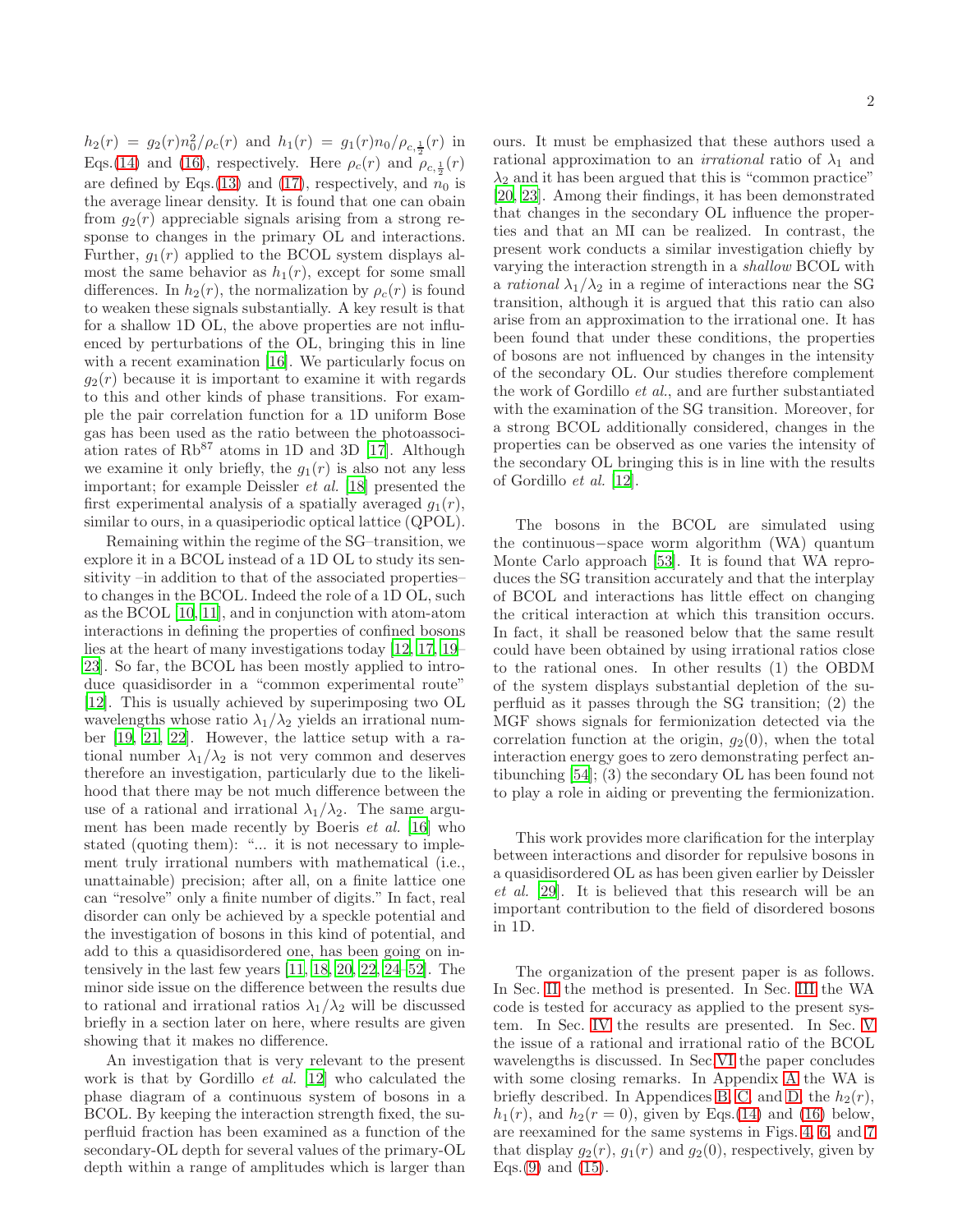$h_2(r) = g_2(r) n_0^2/\rho_c(r)$  and  $h_1(r) = g_1(r) n_0/\rho_{c,\frac{1}{2}}(r)$  in Eqs.[\(14\)](#page-3-1) and [\(16\)](#page-3-2), respectively. Here  $\rho_c(r)$  and  $\rho_{c,\frac{1}{2}}(r)$ are defined by Eqs.[\(13\)](#page-3-3) and [\(17\)](#page-3-4), respectively, and  $n_0$  is the average linear density. It is found that one can obain from  $q_2(r)$  appreciable signals arising from a strong response to changes in the primary OL and interactions. Further,  $g_1(r)$  applied to the BCOL system displays almost the same behavior as  $h_1(r)$ , except for some small differences. In  $h_2(r)$ , the normalization by  $\rho_c(r)$  is found to weaken these signals substantially. A key result is that for a shallow 1D OL, the above properties are not influenced by perturbations of the OL, bringing this in line with a recent examination [\[16\]](#page-15-5). We particularly focus on  $g_2(r)$  because it is important to examine it with regards to this and other kinds of phase transitions. For example the pair correlation function for a 1D uniform Bose gas has been used as the ratio between the photoassociation rates of  $Rb^{87}$  atoms in 1D and 3D [\[17\]](#page-15-6). Although we examine it only briefly, the  $g_1(r)$  is also not any less important; for example Deissler et al. [\[18](#page-15-7)] presented the first experimental analysis of a spatially averaged  $g_1(r)$ , similar to ours, in a quasiperiodic optical lattice (QPOL).

Remaining within the regime of the SG–transition, we explore it in a BCOL instead of a 1D OL to study its sensitivity –in addition to that of the associated properties– to changes in the BCOL. Indeed the role of a 1D OL, such as the BCOL [\[10,](#page-15-0) [11\]](#page-15-8), and in conjunction with atom-atom interactions in defining the properties of confined bosons lies at the heart of many investigations today [\[12](#page-15-1), [17,](#page-15-6) [19](#page-15-9)– [23\]](#page-15-10). So far, the BCOL has been mostly applied to introduce quasidisorder in a "common experimental route" [\[12\]](#page-15-1). This is usually achieved by superimposing two OL wavelengths whose ratio  $\lambda_1/\lambda_2$  yields an irrational number [\[19](#page-15-9), [21](#page-15-11), [22\]](#page-15-12). However, the lattice setup with a rational number  $\lambda_1/\lambda_2$  is not very common and deserves therefore an investigation, particularly due to the likelihood that there may be not much difference between the use of a rational and irrational  $\lambda_1/\lambda_2$ . The same argument has been made recently by Boeris et al. [\[16\]](#page-15-5) who stated (quoting them): "... it is not necessary to implement truly irrational numbers with mathematical (i.e., unattainable) precision; after all, on a finite lattice one can "resolve" only a finite number of digits." In fact, real disorder can only be achieved by a speckle potential and the investigation of bosons in this kind of potential, and add to this a quasidisordered one, has been going on intensively in the last few years [\[11,](#page-15-8) [18,](#page-15-7) [20](#page-15-13), [22,](#page-15-12) [24](#page-15-14)[–52](#page-15-15)]. The minor side issue on the difference between the results due to rational and irrational ratios  $\lambda_1/\lambda_2$  will be discussed briefly in a section later on here, where results are given showing that it makes no difference.

An investigation that is very relevant to the present work is that by Gordillo *et al.* [\[12\]](#page-15-1) who calculated the phase diagram of a continuous system of bosons in a BCOL. By keeping the interaction strength fixed, the superfluid fraction has been examined as a function of the secondary-OL depth for several values of the primary-OL depth within a range of amplitudes which is larger than

ours. It must be emphasized that these authors used a rational approximation to an *irrational* ratio of  $\lambda_1$  and  $\lambda_2$  and it has been argued that this is "common practice" [\[20,](#page-15-13) [23\]](#page-15-10). Among their findings, it has been demonstrated that changes in the secondary OL influence the properties and that an MI can be realized. In contrast, the present work conducts a similar investigation chiefly by varying the interaction strength in a shallow BCOL with a *rational*  $\lambda_1/\lambda_2$  in a regime of interactions near the SG transition, although it is argued that this ratio can also arise from an approximation to the irrational one. It has been found that under these conditions, the properties of bosons are not influenced by changes in the intensity of the secondary OL. Our studies therefore complement the work of Gordillo et al., and are further substantiated with the examination of the SG transition. Moreover, for a strong BCOL additionally considered, changes in the properties can be observed as one varies the intensity of the secondary OL bringing this is in line with the results of Gordillo et al. [\[12](#page-15-1)].

The bosons in the BCOL are simulated using the continuous−space worm algorithm (WA) quantum Monte Carlo approach [\[53](#page-15-16)]. It is found that WA reproduces the SG transition accurately and that the interplay of BCOL and interactions has little effect on changing the critical interaction at which this transition occurs. In fact, it shall be reasoned below that the same result could have been obtained by using irrational ratios close to the rational ones. In other results (1) the OBDM of the system displays substantial depletion of the superfluid as it passes through the SG transition; (2) the MGF shows signals for fermionization detected via the correlation function at the origin,  $q_2(0)$ , when the total interaction energy goes to zero demonstrating perfect antibunching [\[54\]](#page-15-17); (3) the secondary OL has been found not to play a role in aiding or preventing the fermionization.

This work provides more clarification for the interplay between interactions and disorder for repulsive bosons in a quasidisordered OL as has been given earlier by Deissler et al. [\[29\]](#page-15-18). It is believed that this research will be an important contribution to the field of disordered bosons in 1D.

The organization of the present paper is as follows. In Sec. [II](#page-2-1) the method is presented. In Sec. [III](#page-4-0) the WA code is tested for accuracy as applied to the present system. In Sec. [IV](#page-5-0) the results are presented. In Sec. [V](#page-11-0) the issue of a rational and irrational ratio of the BCOL wavelengths is discussed. In Sec[.VI](#page-11-1) the paper concludes with some closing remarks. In Appendix [A](#page-12-0) the WA is briefly described. In Appendices [B,](#page-12-1) [C,](#page-13-0) and [D,](#page-14-7) the  $h_2(r)$ ,  $h_1(r)$ , and  $h_2(r=0)$ , given by Eqs.[\(14\)](#page-3-1) and [\(16\)](#page-3-2) below, are reexamined for the same systems in Figs. [4,](#page-7-0) [6,](#page-8-0) and [7](#page-9-0) that display  $g_2(r)$ ,  $g_1(r)$  and  $g_2(0)$ , respectively, given by Eqs. $(9)$  and  $(15)$ .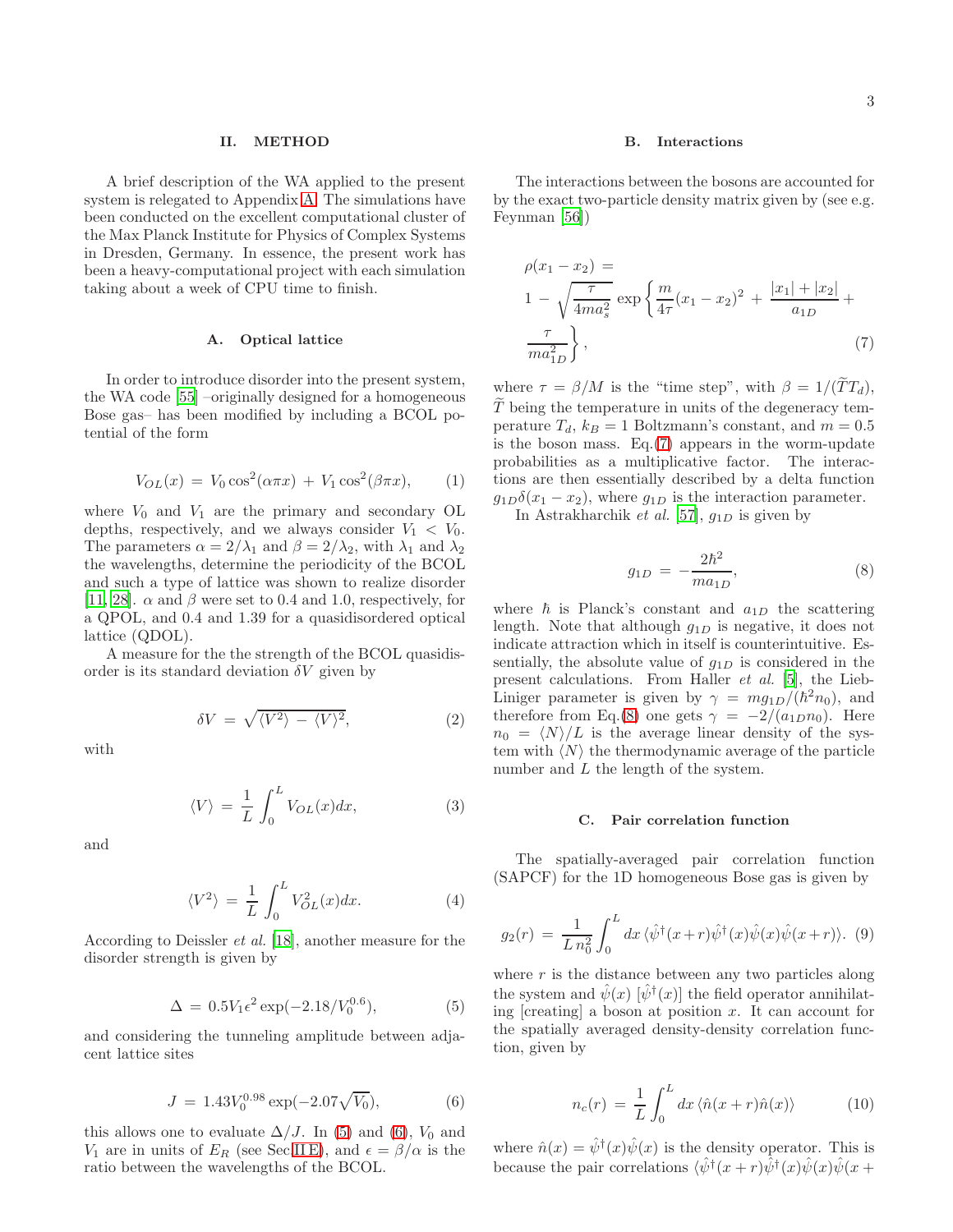### <span id="page-2-1"></span>II. METHOD

A brief description of the WA applied to the present system is relegated to Appendix [A.](#page-12-0) The simulations have been conducted on the excellent computational cluster of the Max Planck Institute for Physics of Complex Systems in Dresden, Germany. In essence, the present work has been a heavy-computational project with each simulation taking about a week of CPU time to finish.

# A. Optical lattice

In order to introduce disorder into the present system, the WA code [\[55](#page-15-19)] –originally designed for a homogeneous Bose gas– has been modified by including a BCOL potential of the form

<span id="page-2-7"></span>
$$
V_{OL}(x) = V_0 \cos^2(\alpha \pi x) + V_1 \cos^2(\beta \pi x), \quad (1)
$$

where  $V_0$  and  $V_1$  are the primary and secondary OL depths, respectively, and we always consider  $V_1 < V_0$ . The parameters  $\alpha = 2/\lambda_1$  and  $\beta = 2/\lambda_2$ , with  $\lambda_1$  and  $\lambda_2$ the wavelengths, determine the periodicity of the BCOL and such a type of lattice was shown to realize disorder [\[11,](#page-15-8) [28](#page-15-20)].  $\alpha$  and  $\beta$  were set to 0.4 and 1.0, respectively, for a QPOL, and 0.4 and 1.39 for a quasidisordered optical lattice (QDOL).

A measure for the the strength of the BCOL quasidisorder is its standard deviation  $\delta V$  given by

<span id="page-2-8"></span>
$$
\delta V = \sqrt{\langle V^2 \rangle - \langle V \rangle^2},\tag{2}
$$

with

$$
\langle V \rangle = \frac{1}{L} \int_0^L V_{OL}(x) dx, \tag{3}
$$

and

$$
\langle V^2 \rangle = \frac{1}{L} \int_0^L V_{OL}^2(x) dx.
$$
 (4)

According to Deissler et al. [\[18](#page-15-7)], another measure for the disorder strength is given by

<span id="page-2-2"></span>
$$
\Delta = 0.5V_1\epsilon^2 \exp(-2.18/V_0^{0.6}),\tag{5}
$$

and considering the tunneling amplitude between adjacent lattice sites

<span id="page-2-3"></span>
$$
J = 1.43 V_0^{0.98} \exp(-2.07 \sqrt{V_0}), \tag{6}
$$

this allows one to evaluate  $\Delta/J$ . In [\(5\)](#page-2-2) and [\(6\)](#page-2-3),  $V_0$  and  $V_1$  are in units of  $E_R$  (see Sec[.II E\)](#page-3-5), and  $\epsilon = \beta/\alpha$  is the ratio between the wavelengths of the BCOL.

### B. Interactions

The interactions between the bosons are accounted for by the exact two-particle density matrix given by (see e.g. Feynman [\[56\]](#page-15-21))

<span id="page-2-4"></span>
$$
\rho(x_1 - x_2) =
$$
\n
$$
1 - \sqrt{\frac{\tau}{4ma_s^2}} \exp\left\{\frac{m}{4\tau}(x_1 - x_2)^2 + \frac{|x_1| + |x_2|}{a_{1D}} + \frac{\tau}{ma_{1D}^2}\right\},\tag{7}
$$

where  $\tau = \beta/M$  is the "time step", with  $\beta = 1/(\tilde{T}T_d)$ ,  $T$  being the temperature in units of the degeneracy temperature  $T_d$ ,  $k_B = 1$  Boltzmann's constant, and  $m = 0.5$ is the boson mass. Eq.[\(7\)](#page-2-4) appears in the worm-update probabilities as a multiplicative factor. The interactions are then essentially described by a delta function  $g_{1D}\delta(x_1-x_2)$ , where  $g_{1D}$  is the interaction parameter.

In Astrakharchik et al. [\[57\]](#page-15-22),  $g_{1D}$  is given by

<span id="page-2-5"></span>
$$
g_{1D} = -\frac{2\hbar^2}{ma_{1D}},\tag{8}
$$

where  $\hbar$  is Planck's constant and  $a_{1D}$  the scattering length. Note that although  $g_{1D}$  is negative, it does not indicate attraction which in itself is counterintuitive. Essentially, the absolute value of  $g_{1D}$  is considered in the present calculations. From Haller et al. [\[5\]](#page-14-2), the Lieb-Liniger parameter is given by  $\gamma = mg_{1D}/(\hbar^2 n_0)$ , and therefore from Eq.[\(8\)](#page-2-5) one gets  $\gamma = -2/(a_{1D}n_0)$ . Here  $n_0 = \langle N \rangle/L$  is the average linear density of the system with  $\langle N \rangle$  the thermodynamic average of the particle number and  $L$  the length of the system.

#### <span id="page-2-6"></span>C. Pair correlation function

The spatially-averaged pair correlation function (SAPCF) for the 1D homogeneous Bose gas is given by

<span id="page-2-0"></span>
$$
g_2(r) = \frac{1}{L n_0^2} \int_0^L dx \, \langle \hat{\psi}^\dagger(x+r) \hat{\psi}^\dagger(x) \hat{\psi}(x) \hat{\psi}(x+r) \rangle. \tag{9}
$$

where  $r$  is the distance between any two particles along the system and  $\hat{\psi}(x)$  [ $\hat{\psi}^{\dagger}(x)$ ] the field operator annihilating  $[creating]$  a boson at position x. It can account for the spatially averaged density-density correlation function, given by

$$
n_c(r) = \frac{1}{L} \int_0^L dx \langle \hat{n}(x+r)\hat{n}(x) \rangle \tag{10}
$$

where  $\hat{n}(x) = \hat{\psi}^{\dagger}(x)\hat{\psi}(x)$  is the density operator. This is because the pair correlations  $\langle \hat{\psi}^{\dagger}(x+r) \hat{\psi}^{\dagger}(x) \hat{\psi}(x) \hat{\psi}(x+\rangle)$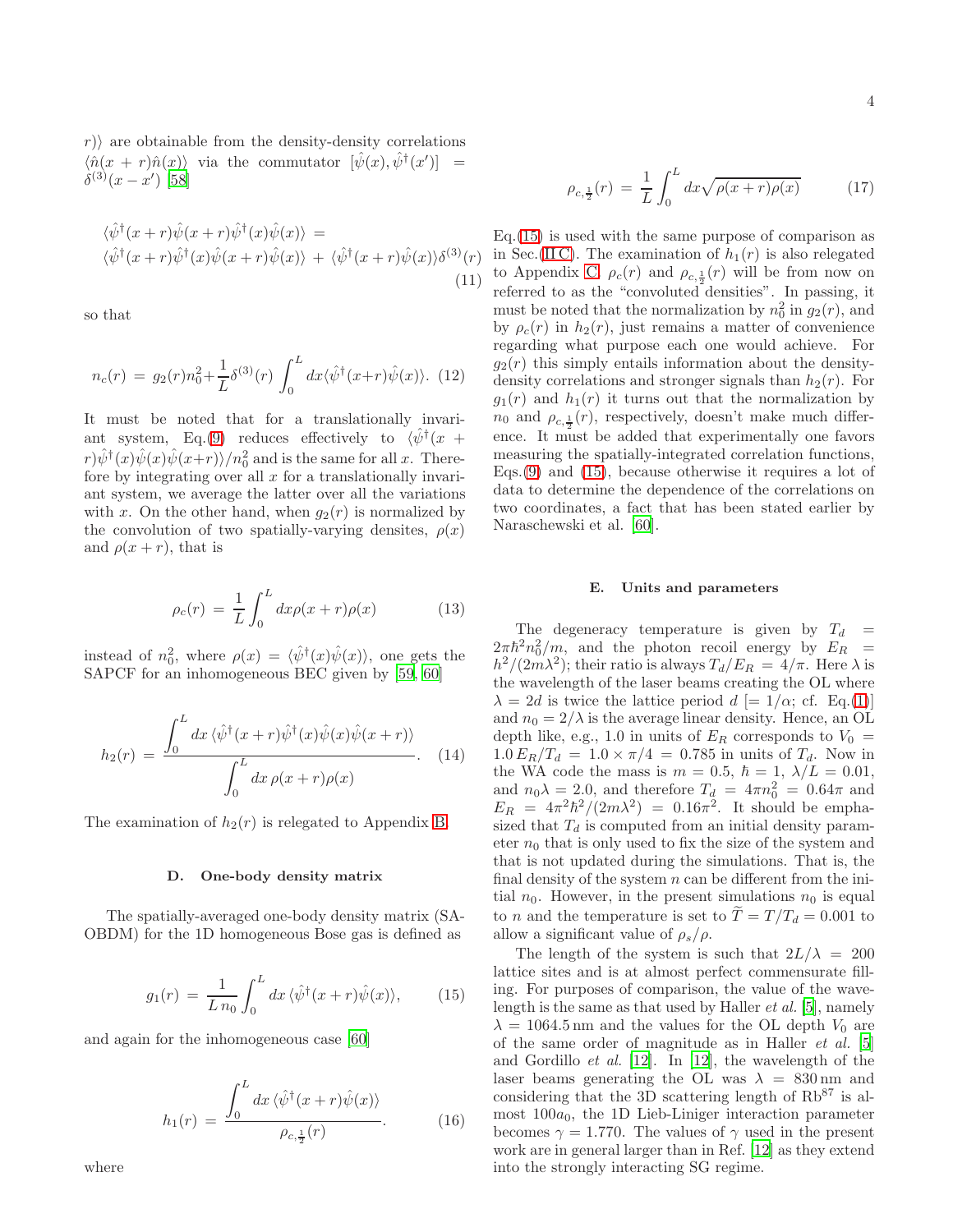$r$ ) are obtainable from the density-density correlations  $\langle \hat{n}(x+r)\hat{n}(x) \rangle$  via the commutator  $[\hat{\psi}(x), \hat{\psi}^{\dagger}(x')] =$  $\delta^{(3)}(x-x')$  [\[58\]](#page-15-23)

$$
\langle \hat{\psi}^{\dagger}(x+r)\hat{\psi}(x+r)\hat{\psi}^{\dagger}(x)\hat{\psi}(x)\rangle = \langle \hat{\psi}^{\dagger}(x+r)\hat{\psi}^{\dagger}(x)\hat{\psi}(x+r)\hat{\psi}(x)\rangle + \langle \hat{\psi}^{\dagger}(x+r)\hat{\psi}(x)\rangle \delta^{(3)}(r) \n(11)
$$

so that

$$
n_c(r) = g_2(r)n_0^2 + \frac{1}{L}\delta^{(3)}(r)\int_0^L dx \langle \hat{\psi}^\dagger(x+r)\hat{\psi}(x)\rangle.
$$
 (12)

It must be noted that for a translationally invari-ant system, Eq.[\(9\)](#page-2-0) reduces effectively to  $\langle \hat{\psi}^{\dagger}(x +$  $\langle r \rangle \hat{\psi}^{\dagger}(x) \hat{\psi}(x) \hat{\psi}(x+r) \rangle / n_0^2$  and is the same for all x. Therefore by integrating over all  $x$  for a translationally invariant system, we average the latter over all the variations with x. On the other hand, when  $g_2(r)$  is normalized by the convolution of two spatially-varying densites,  $\rho(x)$ and  $\rho(x + r)$ , that is

<span id="page-3-3"></span>
$$
\rho_c(r) = \frac{1}{L} \int_0^L dx \rho(x+r) \rho(x) \tag{13}
$$

instead of  $n_0^2$ , where  $\rho(x) = \langle \hat{\psi}^\dagger(x) \hat{\psi}(x) \rangle$ , one gets the SAPCF for an inhomogeneous BEC given by [\[59](#page-15-24), [60](#page-15-25)]

<span id="page-3-1"></span>
$$
h_2(r) = \frac{\int_0^L dx \langle \hat{\psi}^\dagger(x+r)\hat{\psi}^\dagger(x)\hat{\psi}(x)\hat{\psi}(x+r)\rangle}{\int_0^L dx \,\rho(x+r)\rho(x)}.
$$
 (14)

The examination of  $h_2(r)$  is relegated to Appendix [B.](#page-12-1)

#### D. One-body density matrix

The spatially-averaged one-body density matrix (SA-OBDM) for the 1D homogeneous Bose gas is defined as

<span id="page-3-0"></span>
$$
g_1(r) = \frac{1}{L n_0} \int_0^L dx \, \langle \hat{\psi}^\dagger(x+r) \hat{\psi}(x) \rangle, \tag{15}
$$

and again for the inhomogeneous case [\[60\]](#page-15-25)

<span id="page-3-2"></span>
$$
h_1(r) = \frac{\int_0^L dx \langle \hat{\psi}^\dagger(x+r)\hat{\psi}(x)\rangle}{\rho_{c,\frac{1}{2}}(r)}.
$$
 (16)

where

<span id="page-3-4"></span>Eq.[\(15\)](#page-3-0) is used with the same purpose of comparison as in Sec.(IIC). The examination of  $h_1(r)$  is also relegated to Appendix [C.](#page-13-0)  $\rho_c(r)$  and  $\rho_{c,\frac{1}{2}}(r)$  will be from now on referred to as the "convoluted densities". In passing, it must be noted that the normalization by  $n_0^2$  in  $g_2(r)$ , and by  $\rho_c(r)$  in  $h_2(r)$ , just remains a matter of convenience regarding what purpose each one would achieve. For  $g_2(r)$  this simply entails information about the densitydensity correlations and stronger signals than  $h_2(r)$ . For  $g_1(r)$  and  $h_1(r)$  it turns out that the normalization by  $n_0$  and  $\rho_{c,\frac{1}{2}}(r)$ , respectively, doesn't make much difference. It must be added that experimentally one favors measuring the spatially-integrated correlation functions, Eqs. $(9)$  and  $(15)$ , because otherwise it requires a lot of data to determine the dependence of the correlations on two coordinates, a fact that has been stated earlier by Naraschewski et al. [\[60](#page-15-25)].

## <span id="page-3-5"></span>E. Units and parameters

The degeneracy temperature is given by  $T_d =$  $2\pi\hbar^2 n_0^2/m$ , and the photon recoil energy by  $E_R$  =  $h^2/(2m\lambda^2)$ ; their ratio is always  $T_d/E_R = 4/\pi$ . Here  $\lambda$  is the wavelength of the laser beams creating the OL where  $\lambda = 2d$  is twice the lattice period  $d \neq 1/\alpha$ ; cf. Eq.[\(1\)](#page-2-7)] and  $n_0 = 2/\lambda$  is the average linear density. Hence, an OL depth like, e.g., 1.0 in units of  $E_R$  corresponds to  $V_0 =$  $1.0 E_R/T_d = 1.0 \times \pi/4 = 0.785$  in units of  $T_d$ . Now in the WA code the mass is  $m = 0.5, \hbar = 1, \lambda/L = 0.01,$ and  $n_0 \lambda = 2.0$ , and therefore  $T_d = 4\pi n_0^2 = 0.64\pi$  and  $E_R = 4\pi^2\hbar^2/(2m\lambda^2) = 0.16\pi^2$ . It should be emphasized that  $T_d$  is computed from an initial density parameter  $n_0$  that is only used to fix the size of the system and that is not updated during the simulations. That is, the final density of the system  $n$  can be different from the initial  $n_0$ . However, in the present simulations  $n_0$  is equal to *n* and the temperature is set to  $\overline{T} = T/T_d = 0.001$  to allow a significant value of  $\rho_s/\rho$ .

The length of the system is such that  $2L/\lambda = 200$ lattice sites and is at almost perfect commensurate filling. For purposes of comparison, the value of the wavelength is the same as that used by Haller et al. [\[5\]](#page-14-2), namely  $\lambda = 1064.5$  nm and the values for the OL depth  $V_0$  are of the same order of magnitude as in Haller et al. [\[5](#page-14-2)] and Gordillo et al. [\[12\]](#page-15-1). In [\[12\]](#page-15-1), the wavelength of the laser beams generating the OL was  $\lambda = 830 \text{ nm}$  and considering that the 3D scattering length of  $Rb^{87}$  is almost  $100a_0$ , the 1D Lieb-Liniger interaction parameter becomes  $\gamma = 1.770$ . The values of  $\gamma$  used in the present work are in general larger than in Ref. [\[12\]](#page-15-1) as they extend into the strongly interacting SG regime.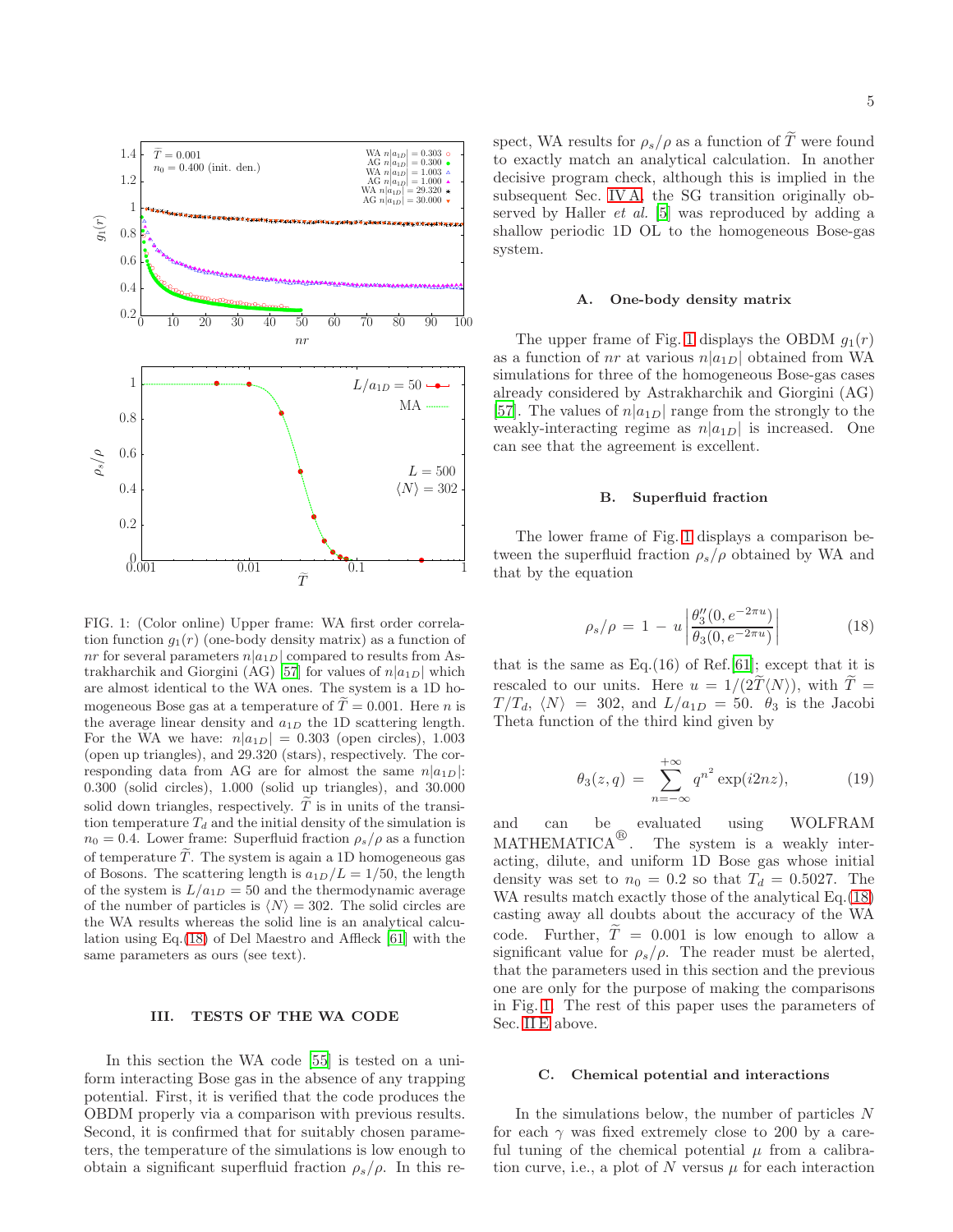

<span id="page-4-2"></span>FIG. 1: (Color online) Upper frame: WA first order correlation function  $g_1(r)$  (one-body density matrix) as a function of nr for several parameters  $n|a_{1D}|$  compared to results from As-trakharchik and Giorgini (AG) [\[57](#page-15-22)] for values of  $n|a_{1D}|$  which are almost identical to the WA ones. The system is a 1D homogeneous Bose gas at a temperature of  $\tilde{T} = 0.001$ . Here *n* is the average linear density and  $a_{1D}$  the 1D scattering length. For the WA we have:  $n|a_{1D}| = 0.303$  (open circles), 1.003 (open up triangles), and 29.320 (stars), respectively. The corresponding data from AG are for almost the same  $n|a_{1D}|$ : 0.300 (solid circles), 1.000 (solid up triangles), and 30.000 solid down triangles, respectively.  $\tilde{T}$  is in units of the transition temperature  $T_d$  and the initial density of the simulation is  $n_0 = 0.4$ . Lower frame: Superfluid fraction  $\rho_s/\rho$  as a function of temperature  $\tilde{T}$ . The system is again a 1D homogeneous gas of Bosons. The scattering length is  $a_{1D}/L = 1/50$ , the length of the system is  $L/a_{1D} = 50$  and the thermodynamic average of the number of particles is  $\langle N \rangle = 302$ . The solid circles are the WA results whereas the solid line is an analytical calculation using Eq.[\(18\)](#page-4-1) of Del Maestro and Affleck [\[61\]](#page-16-0) with the same parameters as ours (see text).

### <span id="page-4-0"></span>III. TESTS OF THE WA CODE

In this section the WA code [\[55\]](#page-15-19) is tested on a uniform interacting Bose gas in the absence of any trapping potential. First, it is verified that the code produces the OBDM properly via a comparison with previous results. Second, it is confirmed that for suitably chosen parameters, the temperature of the simulations is low enough to obtain a significant superfluid fraction  $\rho_s/\rho$ . In this respect, WA results for  $\rho_s/\rho$  as a function of  $\tilde{T}$  were found to exactly match an analytical calculation. In another decisive program check, although this is implied in the subsequent Sec. [IV A,](#page-5-1) the SG transition originally observed by Haller et al. [\[5\]](#page-14-2) was reproduced by adding a shallow periodic 1D OL to the homogeneous Bose-gas system.

#### A. One-body density matrix

The upper frame of Fig. [1](#page-4-2) displays the OBDM  $g_1(r)$ as a function of *nr* at various  $n|a_{1D}|$  obtained from WA simulations for three of the homogeneous Bose-gas cases already considered by Astrakharchik and Giorgini (AG) [\[57\]](#page-15-22). The values of  $n|a_{1D}|$  range from the strongly to the weakly-interacting regime as  $n|a_{1D}|$  is increased. One can see that the agreement is excellent.

# B. Superfluid fraction

The lower frame of Fig. [1](#page-4-2) displays a comparison between the superfluid fraction  $\rho_s/\rho$  obtained by WA and that by the equation

<span id="page-4-1"></span>
$$
\rho_s/\rho = 1 - u \left| \frac{\theta_3''(0, e^{-2\pi u})}{\theta_3(0, e^{-2\pi u})} \right| \tag{18}
$$

that is the same as  $Eq.(16)$  of Ref.[\[61\]](#page-16-0); except that it is rescaled to our units. Here  $u = 1/(2T\langle N \rangle)$ , with  $T =$  $T/T_d$ ,  $\langle N \rangle = 302$ , and  $L/a_{1D} = 50$ .  $\theta_3$  is the Jacobi Theta function of the third kind given by

$$
\theta_3(z,q) = \sum_{n=-\infty}^{+\infty} q^{n^2} \exp(i2nz),\tag{19}
$$

and can be evaluated using WOLFRAM MATHEMATICA $^{\circledR}$ . The system is a weakly interacting, dilute, and uniform 1D Bose gas whose initial density was set to  $n_0 = 0.2$  so that  $T_d = 0.5027$ . The WA results match exactly those of the analytical Eq.[\(18\)](#page-4-1) casting away all doubts about the accuracy of the WA code. Further,  $\tilde{T} = 0.001$  is low enough to allow a significant value for  $\rho_s/\rho$ . The reader must be alerted, that the parameters used in this section and the previous one are only for the purpose of making the comparisons in Fig. [1.](#page-4-2) The rest of this paper uses the parameters of Sec. [II E](#page-3-5) above.

#### C. Chemical potential and interactions

In the simulations below, the number of particles N for each  $\gamma$  was fixed extremely close to 200 by a careful tuning of the chemical potential  $\mu$  from a calibration curve, i.e., a plot of  $N$  versus  $\mu$  for each interaction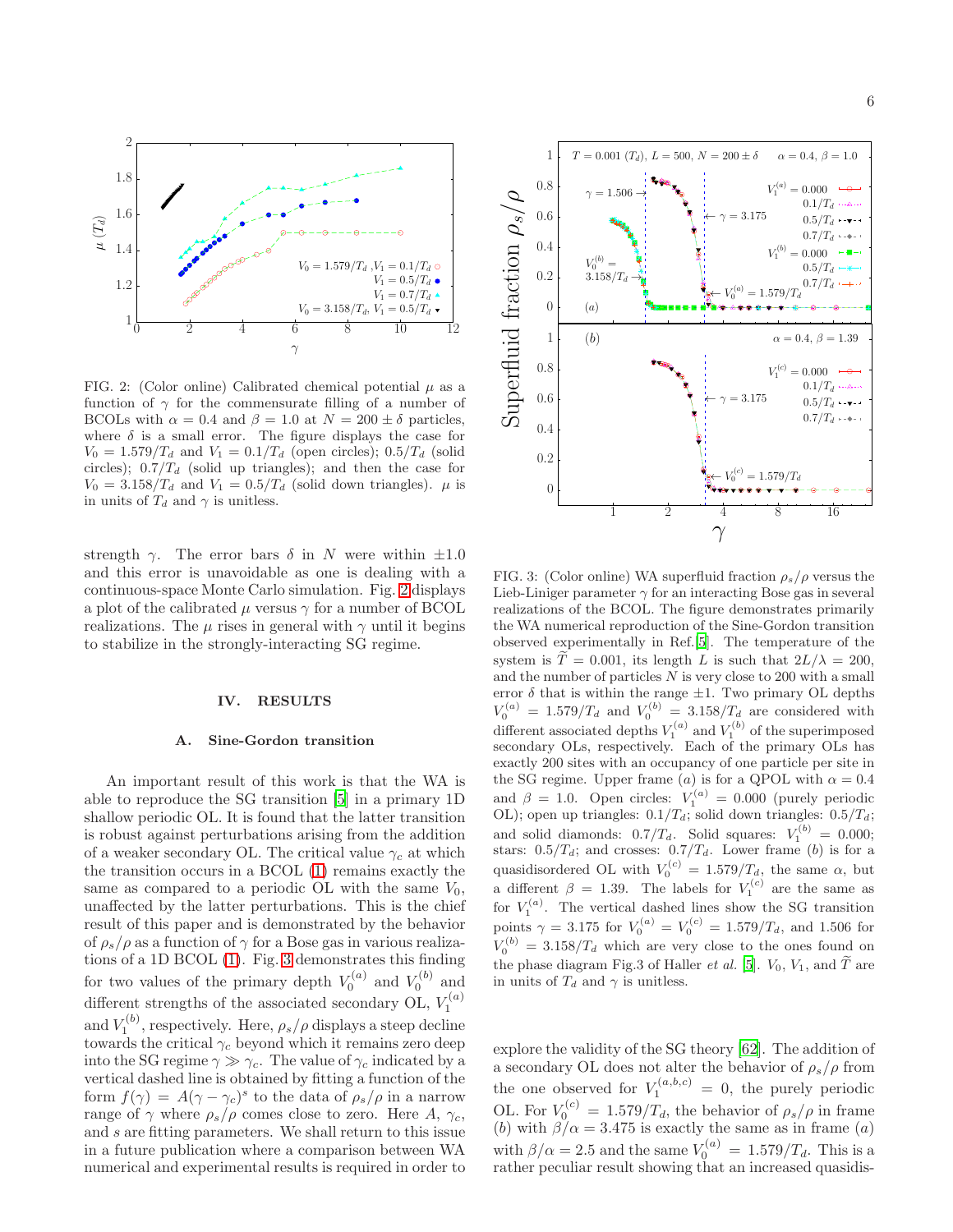

<span id="page-5-2"></span>FIG. 2: (Color online) Calibrated chemical potential  $\mu$  as a function of  $\gamma$  for the commensurate filling of a number of BCOLs with  $\alpha = 0.4$  and  $\beta = 1.0$  at  $N = 200 \pm \delta$  particles, where  $\delta$  is a small error. The figure displays the case for  $V_0 = 1.579/T_d$  and  $V_1 = 0.1/T_d$  (open circles);  $0.5/T_d$  (solid circles);  $0.7/T_d$  (solid up triangles); and then the case for  $V_0 = 3.158/T_d$  and  $V_1 = 0.5/T_d$  (solid down triangles).  $\mu$  is in units of  $T_d$  and  $\gamma$  is unitless.

strength  $\gamma$ . The error bars  $\delta$  in N were within  $\pm 1.0$ and this error is unavoidable as one is dealing with a continuous-space Monte Carlo simulation. Fig. [2](#page-5-2) displays a plot of the calibrated  $\mu$  versus  $\gamma$  for a number of BCOL realizations. The  $\mu$  rises in general with  $\gamma$  until it begins to stabilize in the strongly-interacting SG regime.

#### <span id="page-5-0"></span>IV. RESULTS

#### <span id="page-5-1"></span>A. Sine-Gordon transition

An important result of this work is that the WA is able to reproduce the SG transition [\[5\]](#page-14-2) in a primary 1D shallow periodic OL. It is found that the latter transition is robust against perturbations arising from the addition of a weaker secondary OL. The critical value  $\gamma_c$  at which the transition occurs in a BCOL [\(1\)](#page-2-7) remains exactly the same as compared to a periodic OL with the same  $V_0$ , unaffected by the latter perturbations. This is the chief result of this paper and is demonstrated by the behavior of  $\rho_s/\rho$  as a function of  $\gamma$  for a Bose gas in various realizations of a 1D BCOL [\(1\)](#page-2-7). Fig. [3](#page-5-3) demonstrates this finding for two values of the primary depth  $V_0^{(a)}$  and  $V_0^{(b)}$  and different strengths of the associated secondary OL,  $V_1^{(a)}$ and  $V_1^{(b)}$ , respectively. Here,  $\rho_s/\rho$  displays a steep decline towards the critical  $\gamma_c$  beyond which it remains zero deep into the SG regime  $\gamma \gg \gamma_c$ . The value of  $\gamma_c$  indicated by a vertical dashed line is obtained by fitting a function of the form  $f(\gamma) = A(\gamma - \gamma_c)^s$  to the data of  $\rho_s/\rho$  in a narrow range of  $\gamma$  where  $\rho_s/\rho$  comes close to zero. Here A,  $\gamma_c$ , and s are fitting parameters. We shall return to this issue in a future publication where a comparison between WA numerical and experimental results is required in order to



<span id="page-5-3"></span>FIG. 3: (Color online) WA superfluid fraction  $\rho_s/\rho$  versus the Lieb-Liniger parameter  $\gamma$  for an interacting Bose gas in several realizations of the BCOL. The figure demonstrates primarily the WA numerical reproduction of the Sine-Gordon transition observed experimentally in Ref.[\[5\]](#page-14-2). The temperature of the system is  $\tilde{T} = 0.001$ , its length L is such that  $2L/\lambda = 200$ , and the number of particles  $N$  is very close to 200 with a small error  $\delta$  that is within the range  $\pm 1$ . Two primary OL depths  $V_0^{(a)} = 1.579/T_d$  and  $V_0^{(b)} = 3.158/T_d$  are considered with different associated depths  $V_1^{(a)}$  and  $V_1^{(b)}$  of the superimposed secondary OLs, respectively. Each of the primary OLs has exactly 200 sites with an occupancy of one particle per site in the SG regime. Upper frame (a) is for a QPOL with  $\alpha = 0.4$ and  $\beta = 1.0$ . Open circles:  $V_1^{(a)} = 0.000$  (purely periodic OL); open up triangles:  $0.1/T_d$ ; solid down triangles:  $0.5/T_d$ ; and solid diamonds:  $0.7/T_d$ . Solid squares:  $V_1^{(b)} = 0.000$ ; stars:  $0.5/T_d$ ; and crosses:  $0.7/T_d$ . Lower frame (b) is for a quasidisordered OL with  $V_0^{(c)} = 1.579/T_d$ , the same  $\alpha$ , but a different  $\beta = 1.39$ . The labels for  $V_1^{(c)}$  are the same as for  $V_1^{(a)}$ . The vertical dashed lines show the SG transition points  $\gamma = 3.175$  for  $V_0^{(a)} = V_0^{(c)} = 1.579/T_d$ , and 1.506 for  $V_0^{(b)} = 3.158/T_d$  which are very close to the ones found on the phase diagram Fig.3 of Haller *et al.* [\[5\]](#page-14-2).  $V_0$ ,  $V_1$ , and  $\tilde{T}$  are in units of  $T_d$  and  $\gamma$  is unitless.

explore the validity of the SG theory [\[62\]](#page-16-1). The addition of a secondary OL does not alter the behavior of  $\rho_s/\rho$  from the one observed for  $V_1^{(a,b,c)} = 0$ , the purely periodic OL. For  $V_0^{(c)} = 1.579/T_d$ , the behavior of  $\rho_s/\rho$  in frame (b) with  $\beta/\alpha = 3.475$  is exactly the same as in frame (a) with  $\beta/\alpha = 2.5$  and the same  $V_0^{(a)} = 1.579/T_d$ . This is a rather peculiar result showing that an increased quasidis-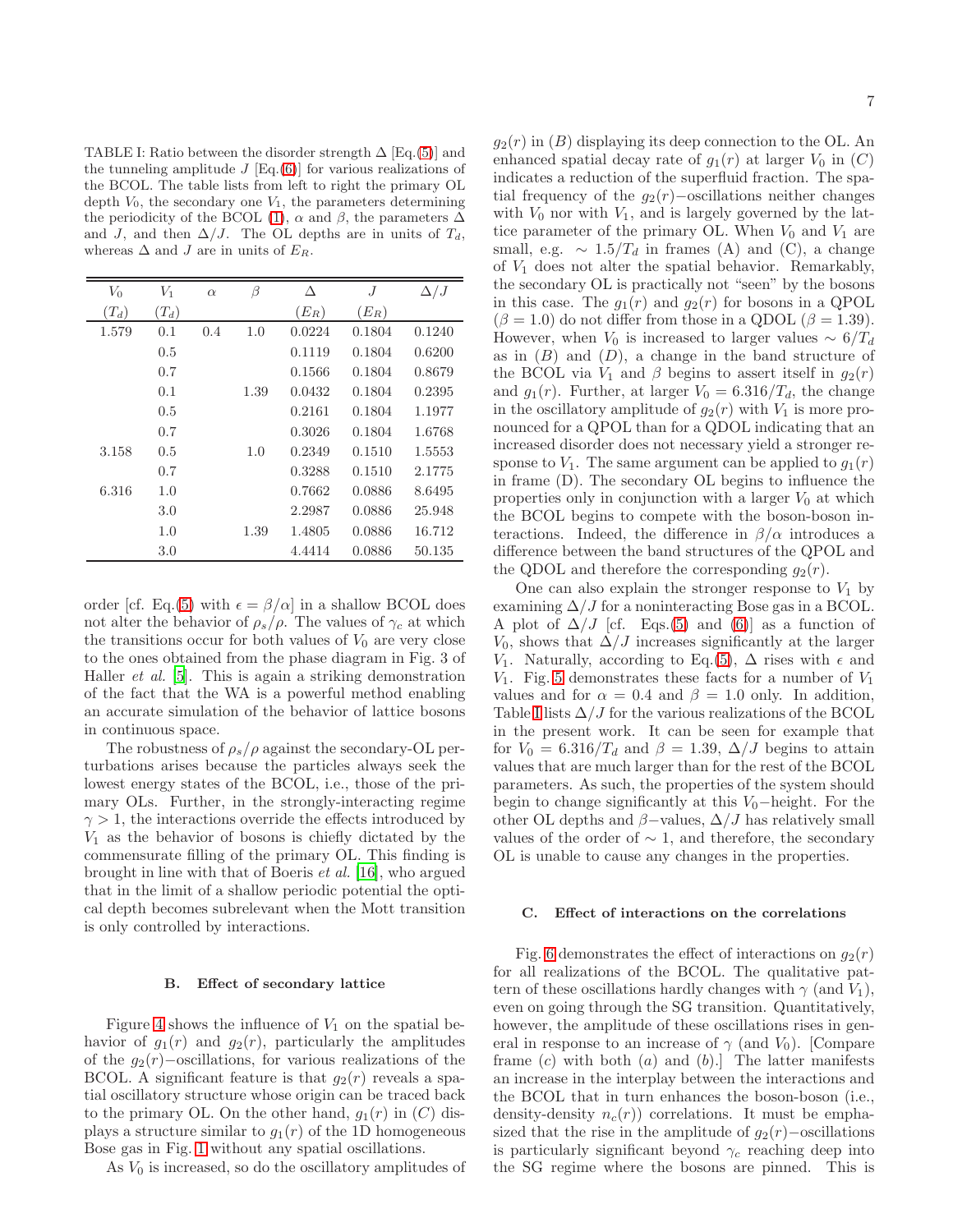<span id="page-6-0"></span>TABLE I: Ratio between the disorder strength  $\Delta$  [Eq.[\(5\)](#page-2-2)] and the tunneling amplitude  $J$  [Eq.[\(6\)](#page-2-3)] for various realizations of the BCOL. The table lists from left to right the primary OL depth  $V_0$ , the secondary one  $V_1$ , the parameters determining the periodicity of the BCOL [\(1\)](#page-2-7),  $\alpha$  and  $\beta$ , the parameters  $\Delta$ and J, and then  $\Delta/J$ . The OL depths are in units of  $T_d$ , whereas  $\Delta$  and J are in units of  $E_R$ .

| $V_0$   | $V_1$   |          |      | Δ       | J       |            |
|---------|---------|----------|------|---------|---------|------------|
|         |         | $\alpha$ | β    |         |         | $\Delta/J$ |
| $(T_d)$ | $(T_d)$ |          |      | $(E_R)$ | $(E_R)$ |            |
| 1.579   | 0.1     | 0.4      | 1.0  | 0.0224  | 0.1804  | 0.1240     |
|         | 0.5     |          |      | 0.1119  | 0.1804  | 0.6200     |
|         | 0.7     |          |      | 0.1566  | 0.1804  | 0.8679     |
|         | 0.1     |          | 1.39 | 0.0432  | 0.1804  | 0.2395     |
|         | 0.5     |          |      | 0.2161  | 0.1804  | 1.1977     |
|         | 0.7     |          |      | 0.3026  | 0.1804  | 1.6768     |
| 3.158   | 0.5     |          | 1.0  | 0.2349  | 0.1510  | 1.5553     |
|         | 0.7     |          |      | 0.3288  | 0.1510  | 2.1775     |
| 6.316   | 1.0     |          |      | 0.7662  | 0.0886  | 8.6495     |
|         | 3.0     |          |      | 2.2987  | 0.0886  | 25.948     |
|         | 1.0     |          | 1.39 | 1.4805  | 0.0886  | 16.712     |
|         | 3.0     |          |      | 4.4414  | 0.0886  | 50.135     |

order [cf. Eq.[\(5\)](#page-2-2) with  $\epsilon = \beta/\alpha$ ] in a shallow BCOL does not alter the behavior of  $\rho_s/\rho$ . The values of  $\gamma_c$  at which the transitions occur for both values of  $V_0$  are very close to the ones obtained from the phase diagram in Fig. 3 of Haller et al. [\[5](#page-14-2)]. This is again a striking demonstration of the fact that the WA is a powerful method enabling an accurate simulation of the behavior of lattice bosons in continuous space.

The robustness of  $\rho_s/\rho$  against the secondary-OL perturbations arises because the particles always seek the lowest energy states of the BCOL, i.e., those of the primary OLs. Further, in the strongly-interacting regime  $\gamma > 1$ , the interactions override the effects introduced by  $V_1$  as the behavior of bosons is chiefly dictated by the commensurate filling of the primary OL. This finding is brought in line with that of Boeris et al. [\[16\]](#page-15-5), who argued that in the limit of a shallow periodic potential the optical depth becomes subrelevant when the Mott transition is only controlled by interactions.

#### B. Effect of secondary lattice

Figure [4](#page-7-0) shows the influence of  $V_1$  on the spatial behavior of  $q_1(r)$  and  $q_2(r)$ , particularly the amplitudes of the  $g_2(r)$ –oscillations, for various realizations of the BCOL. A significant feature is that  $g_2(r)$  reveals a spatial oscillatory structure whose origin can be traced back to the primary OL. On the other hand,  $g_1(r)$  in  $(C)$  displays a structure similar to  $g_1(r)$  of the 1D homogeneous Bose gas in Fig. [1](#page-4-2) without any spatial oscillations.

As  $V_0$  is increased, so do the oscillatory amplitudes of

 $g_2(r)$  in  $(B)$  displaying its deep connection to the OL. An enhanced spatial decay rate of  $g_1(r)$  at larger  $V_0$  in  $(C)$ indicates a reduction of the superfluid fraction. The spatial frequency of the  $g_2(r)$ −oscillations neither changes with  $V_0$  nor with  $V_1$ , and is largely governed by the lattice parameter of the primary OL. When  $V_0$  and  $V_1$  are small, e.g.  $\sim 1.5/T_d$  in frames (A) and (C), a change of  $V_1$  does not alter the spatial behavior. Remarkably, the secondary OL is practically not "seen" by the bosons in this case. The  $g_1(r)$  and  $g_2(r)$  for bosons in a QPOL  $(\beta = 1.0)$  do not differ from those in a QDOL  $(\beta = 1.39)$ . However, when  $V_0$  is increased to larger values ~ 6/ $T_d$ as in  $(B)$  and  $(D)$ , a change in the band structure of the BCOL via  $V_1$  and  $\beta$  begins to assert itself in  $g_2(r)$ and  $g_1(r)$ . Further, at larger  $V_0 = 6.316/T_d$ , the change in the oscillatory amplitude of  $g_2(r)$  with  $V_1$  is more pronounced for a QPOL than for a QDOL indicating that an increased disorder does not necessary yield a stronger response to  $V_1$ . The same argument can be applied to  $g_1(r)$ in frame (D). The secondary OL begins to influence the properties only in conjunction with a larger  $V_0$  at which the BCOL begins to compete with the boson-boson interactions. Indeed, the difference in  $\beta/\alpha$  introduces a difference between the band structures of the QPOL and the QDOL and therefore the corresponding  $g_2(r)$ .

One can also explain the stronger response to  $V_1$  by examining  $\Delta/J$  for a noninteracting Bose gas in a BCOL. A plot of  $\Delta/J$  [cf. Eqs.[\(5\)](#page-2-2) and [\(6\)](#page-2-3)] as a function of  $V_0$ , shows that  $\Delta/J$  increases significantly at the larger V<sub>1</sub>. Naturally, according to Eq.[\(5\)](#page-2-2),  $\Delta$  rises with  $\epsilon$  and  $V_1$ . Fig. [5](#page-8-1) demonstrates these facts for a number of  $V_1$ values and for  $\alpha = 0.4$  and  $\beta = 1.0$  only. In addition, Table [I](#page-6-0) lists  $\Delta/J$  for the various realizations of the BCOL in the present work. It can be seen for example that for  $V_0 = 6.316/T_d$  and  $\beta = 1.39$ ,  $\Delta/J$  begins to attain values that are much larger than for the rest of the BCOL parameters. As such, the properties of the system should begin to change significantly at this  $V_0$ −height. For the other OL depths and  $\beta$ -values,  $\Delta/J$  has relatively small values of the order of  $∼ 1$ , and therefore, the secondary OL is unable to cause any changes in the properties.

#### C. Effect of interactions on the correlations

Fig. [6](#page-8-0) demonstrates the effect of interactions on  $q_2(r)$ for all realizations of the BCOL. The qualitative pattern of these oscillations hardly changes with  $\gamma$  (and  $V_1$ ), even on going through the SG transition. Quantitatively, however, the amplitude of these oscillations rises in general in response to an increase of  $\gamma$  (and  $V_0$ ). [Compare frame  $(c)$  with both  $(a)$  and  $(b)$ . The latter manifests an increase in the interplay between the interactions and the BCOL that in turn enhances the boson-boson (i.e., density-density  $n_c(r)$  correlations. It must be emphasized that the rise in the amplitude of  $g_2(r)$ −oscillations is particularly significant beyond  $\gamma_c$  reaching deep into the SG regime where the bosons are pinned. This is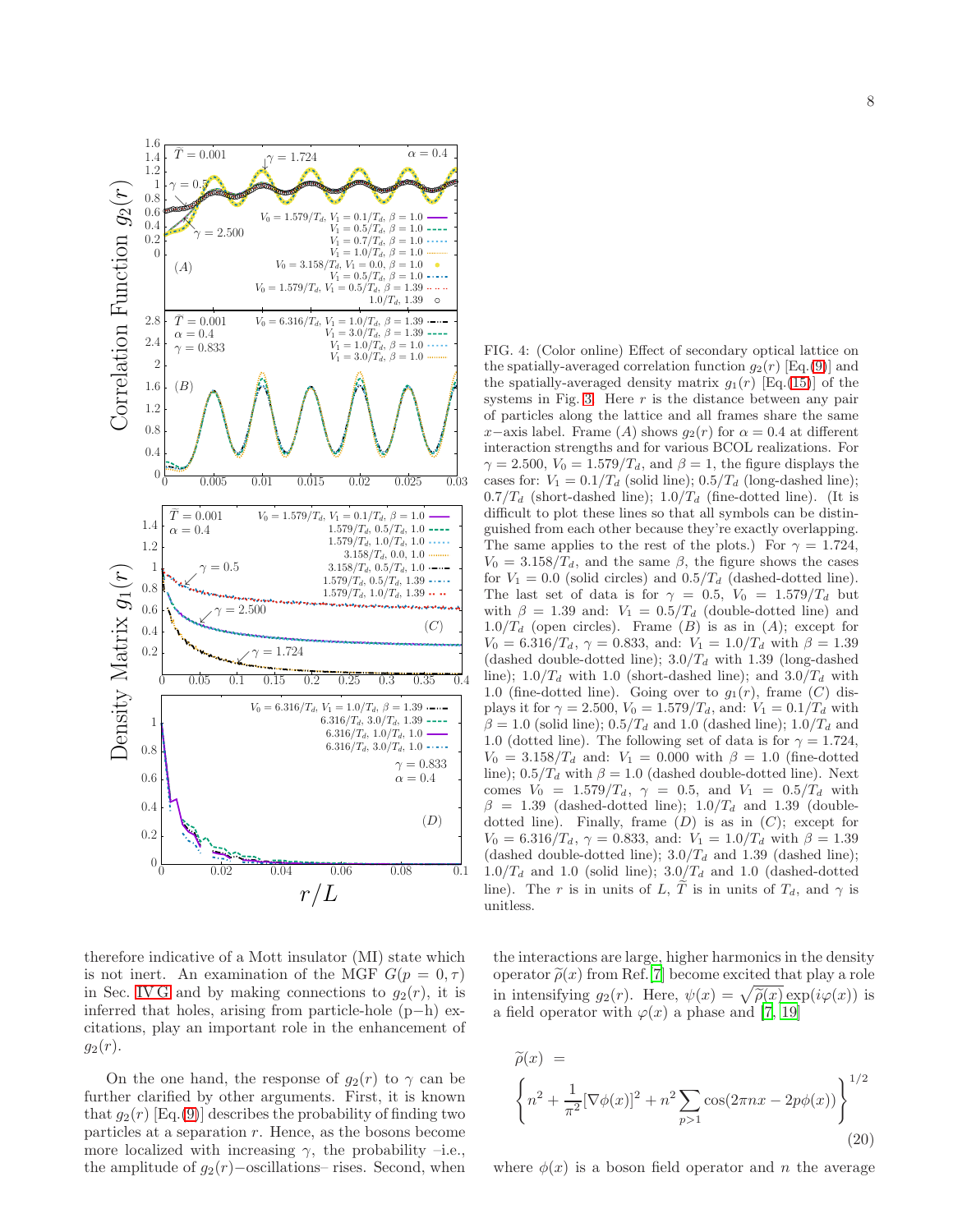

6.316/ $T_d$ , 3.0/ $T_d$ , 1.0  $\cdots$ 6.316/ $T_d$ , 1.0/ $T_d$ , 1.0 -

 $(D)$ 

 $\alpha = 0.4$  $\gamma = 0.833$ 

 $\tilde{\kappa}$ 

 $g_2(r)$ 

 $\frac{1}{1}$ 

 $g_1(r)$  Correlation Function

Density Matrix  $g_1(r)$ 

Density Matrix

1 0.8 0.6 0.4 0.2

 $0\frac{L}{0}$ 

2.8 2.4 2 1.6 1.2 0.8 0.4 0

1.6 1.4 1.2 1 0.8 0.6 0.4 0.2 0

 $(A)$ 

 $\gamma=0.5$ ց

 $\mathcal{N}_{\mathcal{A}}$ 

 $\alpha=0.4$ 

ւ

ւ

 $\alpha = 0.4$  $\widetilde{T}=0.001$ 

1.4 1.2 1 0.8 0.6 0.4 0.2  $(B)$ 

therefore indicative of a Mott insulator (MI) state which is not inert. An examination of the MGF  $G(p = 0, \tau)$ in Sec. [IV G](#page-9-1) and by making connections to  $g_2(r)$ , it is inferred that holes, arising from particle-hole (p−h) excitations, play an important role in the enhancement of  $g_2(r)$ .

 $r/L$ 

0 0.02 0.04 0.06 0.08 0.1

On the one hand, the response of  $g_2(r)$  to  $\gamma$  can be further clarified by other arguments. First, it is known that  $g_2(r)$  [Eq.[\(9\)](#page-2-0)] describes the probability of finding two particles at a separation r. Hence, as the bosons become more localized with increasing  $\gamma$ , the probability –i.e., the amplitude of  $q_2(r)$ –oscillations– rises. Second, when

<span id="page-7-0"></span>FIG. 4: (Color online) Effect of secondary optical lattice on the spatially-averaged correlation function  $g_2(r)$  [Eq.[\(9\)](#page-2-0)] and the spatially-averaged density matrix  $g_1(r)$  [Eq.[\(15\)](#page-3-0)] of the systems in Fig. [3.](#page-5-3) Here  $r$  is the distance between any pair of particles along the lattice and all frames share the same x−axis label. Frame (A) shows  $q_2(r)$  for  $\alpha = 0.4$  at different interaction strengths and for various BCOL realizations. For  $\gamma = 2.500, V_0 = 1.579/T_d$ , and  $\beta = 1$ , the figure displays the cases for:  $V_1 = 0.1/T_d$  (solid line);  $0.5/T_d$  (long-dashed line);  $0.7/T_d$  (short-dashed line);  $1.0/T_d$  (fine-dotted line). (It is difficult to plot these lines so that all symbols can be distinguished from each other because they're exactly overlapping. The same applies to the rest of the plots.) For  $\gamma = 1.724$ ,  $V_0 = 3.158/T_d$ , and the same  $\beta$ , the figure shows the cases for  $V_1 = 0.0$  (solid circles) and  $0.5/T_d$  (dashed-dotted line). The last set of data is for  $\gamma = 0.5$ ,  $V_0 = 1.579/T_d$  but with  $\beta = 1.39$  and:  $V_1 = 0.5/T_d$  (double-dotted line) and  $1.0/T_d$  (open circles). Frame (B) is as in (A); except for  $V_0 = 6.316/T_d$ ,  $\gamma = 0.833$ , and:  $V_1 = 1.0/T_d$  with  $\beta = 1.39$ (dashed double-dotted line);  $3.0/T_d$  with 1.39 (long-dashed line);  $1.0/T_d$  with 1.0 (short-dashed line); and  $3.0/T_d$  with 1.0 (fine-dotted line). Going over to  $g_1(r)$ , frame  $(C)$  displays it for  $\gamma = 2.500$ ,  $V_0 = 1.579/T_d$ , and:  $V_1 = 0.1/T_d$  with  $\beta = 1.0$  (solid line);  $0.5/T_d$  and 1.0 (dashed line);  $1.0/T_d$  and 1.0 (dotted line). The following set of data is for  $\gamma = 1.724$ ,  $V_0 = 3.158/T_d$  and:  $V_1 = 0.000$  with  $\beta = 1.0$  (fine-dotted line);  $0.5/T_d$  with  $\beta = 1.0$  (dashed double-dotted line). Next comes  $V_0 = 1.579/T_d$ ,  $\gamma = 0.5$ , and  $V_1 = 0.5/T_d$  with  $\beta = 1.39$  (dashed-dotted line);  $1.0/T_d$  and 1.39 (doubledotted line). Finally, frame  $(D)$  is as in  $(C)$ ; except for  $V_0 = 6.316/T_d$ ,  $\gamma = 0.833$ , and:  $V_1 = 1.0/T_d$  with  $\beta = 1.39$ (dashed double-dotted line);  $3.0/T_d$  and 1.39 (dashed line);  $1.0/T_d$  and 1.0 (solid line);  $3.0/T_d$  and 1.0 (dashed-dotted line). The r is in units of L,  $\widetilde{T}$  is in units of  $T_d$ , and  $\gamma$  is unitless.

the interactions are large, higher harmonics in the density operator  $\tilde{\rho}(x)$  from Ref.[\[7\]](#page-14-4) become excited that play a role in intensifying  $g_2(r)$ . Here,  $\psi(x) = \sqrt{\tilde{\rho}(x)} \exp(i\varphi(x))$  is a field operator with  $\varphi(x)$  a phase and [\[7](#page-14-4), [19](#page-15-9)]

<span id="page-7-1"></span>
$$
\widetilde{\rho}(x) =
$$
\n
$$
\left\{ n^2 + \frac{1}{\pi^2} [\nabla \phi(x)]^2 + n^2 \sum_{p>1} \cos(2\pi nx - 2p\phi(x)) \right\}^{1/2}
$$
\n(20)

where  $\phi(x)$  is a boson field operator and n the average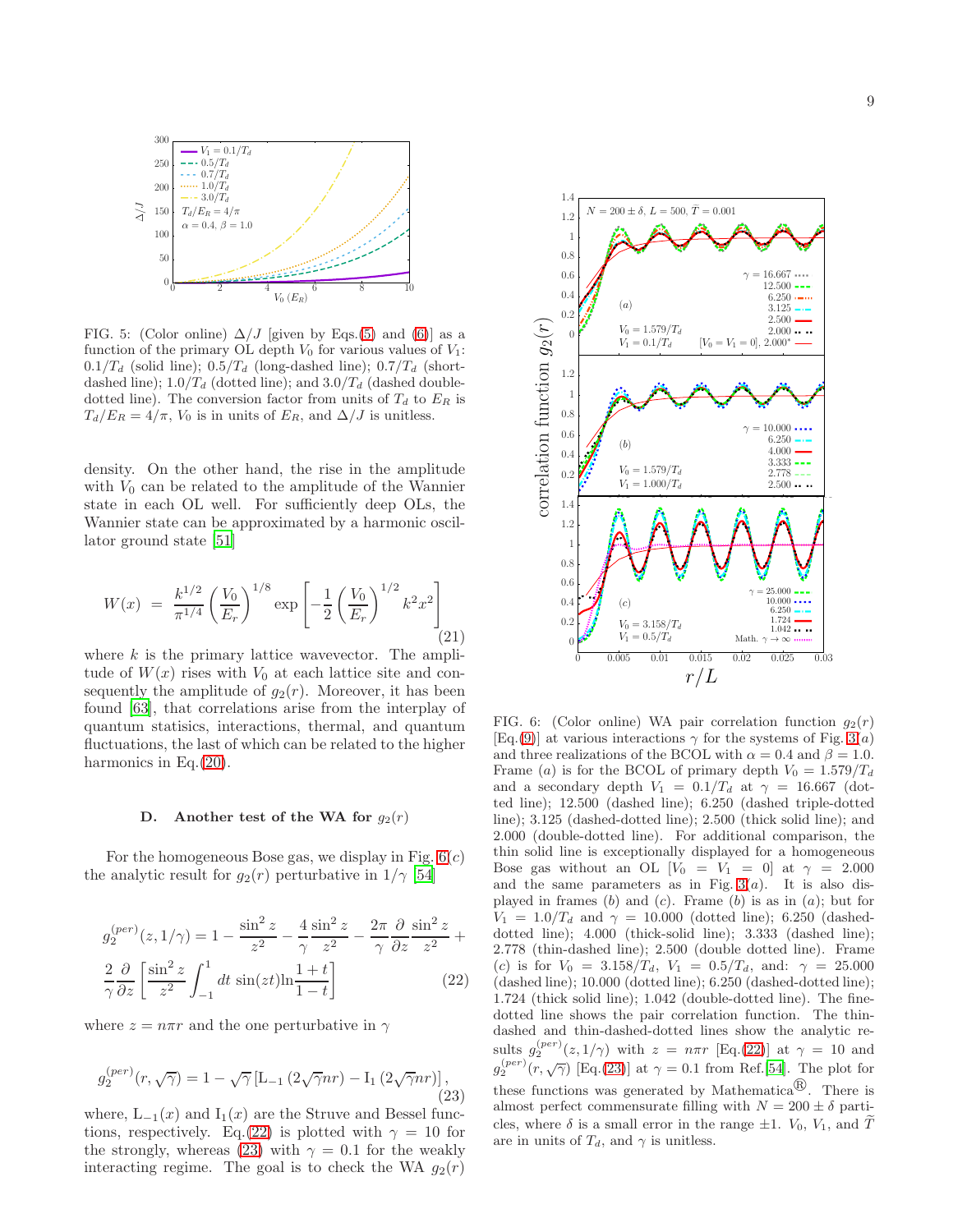

<span id="page-8-1"></span>FIG. 5: (Color online)  $\Delta/J$  [given by Eqs.[\(5\)](#page-2-2) and [\(6\)](#page-2-3)] as a function of the primary OL depth  $V_0$  for various values of  $V_1$ :  $0.1/T_d$  (solid line);  $0.5/T_d$  (long-dashed line);  $0.7/T_d$  (shortdashed line);  $1.0/T_d$  (dotted line); and  $3.0/T_d$  (dashed doubledotted line). The conversion factor from units of  $T_d$  to  $E_R$  is  $T_d/E_R = 4/\pi$ ,  $V_0$  is in units of  $E_R$ , and  $\Delta/J$  is unitless.

density. On the other hand, the rise in the amplitude with  $V_0$  can be related to the amplitude of the Wannier state in each OL well. For sufficiently deep OLs, the Wannier state can be approximated by a harmonic oscillator ground state [\[51\]](#page-15-26)

$$
W(x) = \frac{k^{1/2}}{\pi^{1/4}} \left(\frac{V_0}{E_r}\right)^{1/8} \exp\left[-\frac{1}{2}\left(\frac{V_0}{E_r}\right)^{1/2} k^2 x^2\right] \tag{21}
$$

where  $k$  is the primary lattice wavevector. The amplitude of  $W(x)$  rises with  $V_0$  at each lattice site and consequently the amplitude of  $g_2(r)$ . Moreover, it has been found [\[63\]](#page-16-2), that correlations arise from the interplay of quantum statisics, interactions, thermal, and quantum fluctuations, the last of which can be related to the higher harmonics in Eq.[\(20\)](#page-7-1).

#### D. Another test of the WA for  $q_2(r)$

For the homogeneous Bose gas, we display in Fig.  $6(c)$ the analytic result for  $g_2(r)$  perturbative in  $1/\gamma$  [\[54\]](#page-15-17)

<span id="page-8-2"></span>
$$
g_2^{(per)}(z, 1/\gamma) = 1 - \frac{\sin^2 z}{z^2} - \frac{4}{\gamma} \frac{\sin^2 z}{z^2} - \frac{2\pi}{\gamma} \frac{\partial}{\partial z} \frac{\sin^2 z}{z^2} + \frac{2}{\gamma} \frac{\partial}{\partial z} \left[ \frac{\sin^2 z}{z^2} \int_{-1}^1 dt \, \sin(zt) \ln \frac{1+t}{1-t} \right]
$$
(22)

where  $z = n\pi r$  and the one perturbative in  $\gamma$ 

<span id="page-8-3"></span>
$$
g_2^{(per)}(r, \sqrt{\gamma}) = 1 - \sqrt{\gamma} \left[ L_{-1} \left( 2\sqrt{\gamma}nr \right) - I_1 \left( 2\sqrt{\gamma}nr \right) \right],
$$
\n(23)

where,  $L_{-1}(x)$  and  $I_1(x)$  are the Struve and Bessel func-tions, respectively. Eq.[\(22\)](#page-8-2) is plotted with  $\gamma = 10$  for the strongly, whereas [\(23\)](#page-8-3) with  $\gamma = 0.1$  for the weakly interacting regime. The goal is to check the WA  $q_2(r)$ 



<span id="page-8-0"></span>FIG. 6: (Color online) WA pair correlation function  $g_2(r)$ [Eq.[\(9\)](#page-2-0)] at various interactions  $\gamma$  for the systems of Fig. [3\(](#page-5-3)*a*) and three realizations of the BCOL with  $\alpha = 0.4$  and  $\beta = 1.0$ . Frame (a) is for the BCOL of primary depth  $V_0 = 1.579/T_d$ and a secondary depth  $V_1 = 0.1/T_d$  at  $\gamma = 16.667$  (dotted line); 12.500 (dashed line); 6.250 (dashed triple-dotted line); 3.125 (dashed-dotted line); 2.500 (thick solid line); and 2.000 (double-dotted line). For additional comparison, the thin solid line is exceptionally displayed for a homogeneous Bose gas without an OL  $[V_0 = V_1 = 0]$  at  $\gamma = 2.000$ and the same parameters as in Fig.  $3(a)$ . It is also displayed in frames  $(b)$  and  $(c)$ . Frame  $(b)$  is as in  $(a)$ ; but for  $V_1 = 1.0/T_d$  and  $\gamma = 10.000$  (dotted line); 6.250 (dasheddotted line); 4.000 (thick-solid line); 3.333 (dashed line); 2.778 (thin-dashed line); 2.500 (double dotted line). Frame (c) is for  $V_0 = 3.158/T_d$ ,  $V_1 = 0.5/T_d$ , and:  $\gamma = 25.000$ (dashed line); 10.000 (dotted line); 6.250 (dashed-dotted line); 1.724 (thick solid line); 1.042 (double-dotted line). The finedotted line shows the pair correlation function. The thindashed and thin-dashed-dotted lines show the analytic results  $g_2^{(per)}(z,1/\gamma)$  with  $z = n\pi r$  [Eq.[\(22\)](#page-8-2)] at  $\gamma = 10$  and  $g_2^{(per)}(r, \sqrt{\gamma})$  [Eq.[\(23\)](#page-8-3)] at  $\gamma = 0.1$  from Ref.[\[54](#page-15-17)]. The plot for these functions was generated by Mathematica<sup> $\circledR$ </sup>. There is almost perfect commensurate filling with  $N = 200 \pm \delta$  particles, where  $\delta$  is a small error in the range  $\pm 1$ .  $V_0$ ,  $V_1$ , and  $\widetilde{T}$ are in units of  $T_d$ , and  $\gamma$  is unitless.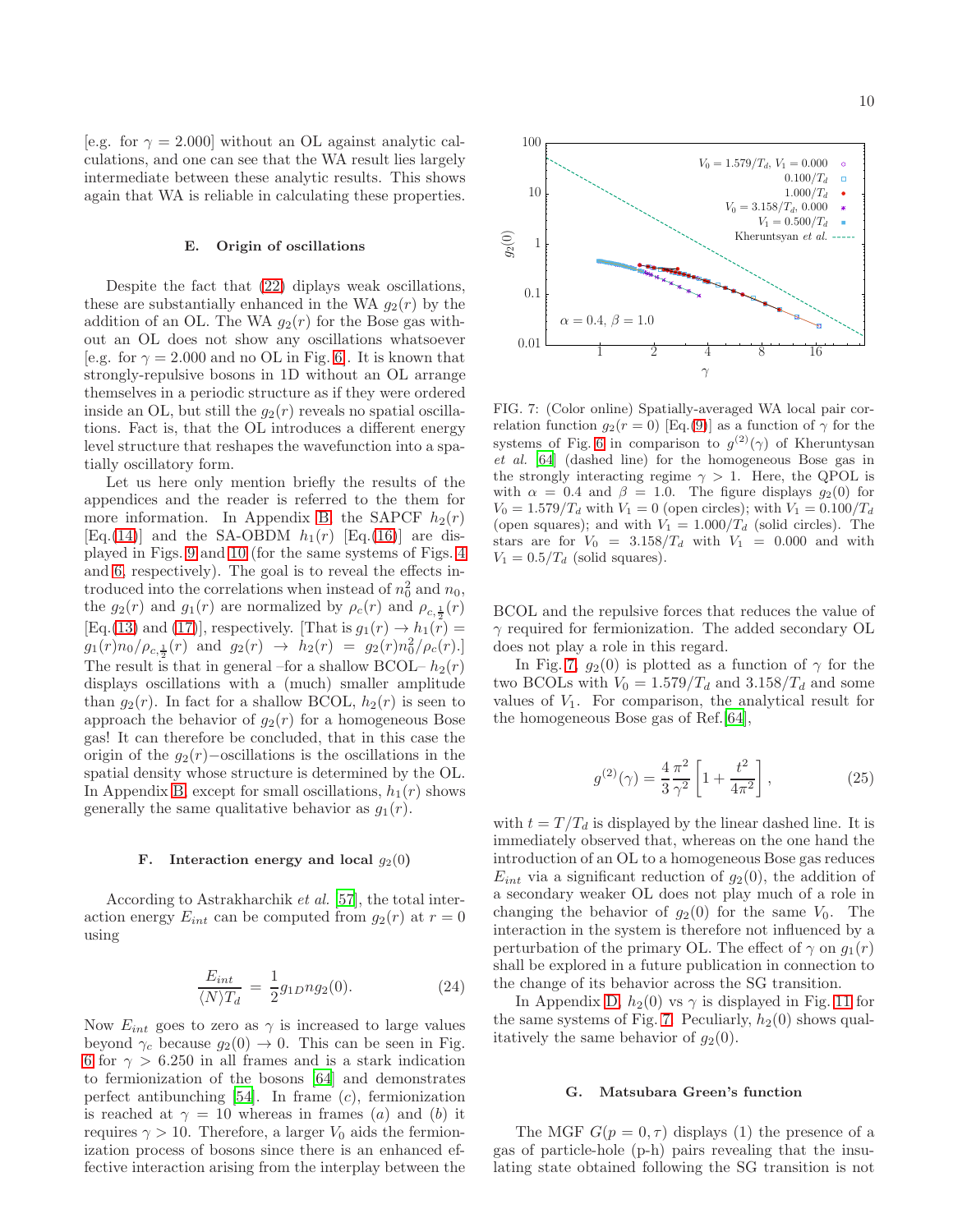[e.g. for  $\gamma = 2.000$ ] without an OL against analytic calculations, and one can see that the WA result lies largely intermediate between these analytic results. This shows again that WA is reliable in calculating these properties.

# E. Origin of oscillations

Despite the fact that [\(22\)](#page-8-2) diplays weak oscillations, these are substantially enhanced in the WA  $g_2(r)$  by the addition of an OL. The WA  $g_2(r)$  for the Bose gas without an OL does not show any oscillations whatsoever [e.g. for  $\gamma = 2.000$  and no OL in Fig. [6\]](#page-8-0). It is known that strongly-repulsive bosons in 1D without an OL arrange themselves in a periodic structure as if they were ordered inside an OL, but still the  $q_2(r)$  reveals no spatial oscillations. Fact is, that the OL introduces a different energy level structure that reshapes the wavefunction into a spatially oscillatory form.

Let us here only mention briefly the results of the appendices and the reader is referred to the them for more information. In Appendix [B,](#page-12-1) the SAPCF  $h_2(r)$ [Eq.[\(14\)](#page-3-1)] and the SA-OBDM  $h_1(r)$  [Eq.[\(16\)](#page-3-2)] are displayed in Figs. [9](#page-13-1) and [10](#page-14-8) (for the same systems of Figs. [4](#page-7-0) and [6,](#page-8-0) respectively). The goal is to reveal the effects introduced into the correlations when instead of  $n_0^2$  and  $n_0$ , the  $g_2(r)$  and  $g_1(r)$  are normalized by  $\rho_c(r)$  and  $\rho_{c,\frac{1}{2}}(r)$ [Eq.[\(13\)](#page-3-3) and [\(17\)](#page-3-4)], respectively. [That is  $g_1(r) \rightarrow h_1(r)$  =  $g_1(r)n_0/\rho_{c,\frac{1}{2}}(r)$  and  $g_2(r) \rightarrow h_2(r) = g_2(r)n_0^2/\rho_c(r)$ . The result is that in general –for a shallow BCOL–  $h_2(r)$ displays oscillations with a (much) smaller amplitude than  $g_2(r)$ . In fact for a shallow BCOL,  $h_2(r)$  is seen to approach the behavior of  $g_2(r)$  for a homogeneous Bose gas! It can therefore be concluded, that in this case the origin of the  $q_2(r)$ –oscillations is the oscillations in the spatial density whose structure is determined by the OL. In Appendix [B,](#page-12-1) except for small oscillations,  $h_1(r)$  shows generally the same qualitative behavior as  $g_1(r)$ .

#### F. Interaction energy and local  $g_2(0)$

According to Astrakharchik et al. [\[57\]](#page-15-22), the total interaction energy  $E_{int}$  can be computed from  $g_2(r)$  at  $r = 0$ using

$$
\frac{E_{int}}{\langle N \rangle T_d} = \frac{1}{2} g_{1D} n g_2(0). \tag{24}
$$

Now  $E_{int}$  goes to zero as  $\gamma$  is increased to large values beyond  $\gamma_c$  because  $g_2(0) \to 0$ . This can be seen in Fig. [6](#page-8-0) for  $\gamma > 6.250$  in all frames and is a stark indication to fermionization of the bosons [\[64\]](#page-16-3) and demonstrates perfect antibunching  $[54]$ . In frame  $(c)$ , fermionization is reached at  $\gamma = 10$  whereas in frames (a) and (b) it requires  $\gamma > 10$ . Therefore, a larger  $V_0$  aids the fermionization process of bosons since there is an enhanced effective interaction arising from the interplay between the



<span id="page-9-0"></span>FIG. 7: (Color online) Spatially-averaged WA local pair correlation function  $g_2(r=0)$  [Eq.[\(9\)](#page-2-0)] as a function of  $\gamma$  for the systems of Fig. [6](#page-8-0) in comparison to  $g^{(2)}(\gamma)$  of Kheruntysan *et al.* [\[64](#page-16-3)] (dashed line) for the homogeneous Bose gas in the strongly interacting regime  $\gamma > 1$ . Here, the QPOL is with  $\alpha = 0.4$  and  $\beta = 1.0$ . The figure displays  $q_2(0)$  for  $V_0 = 1.579/T_d$  with  $V_1 = 0$  (open circles); with  $V_1 = 0.100/T_d$ (open squares); and with  $V_1 = 1.000/T_d$  (solid circles). The stars are for  $V_0 = 3.158/T_d$  with  $V_1 = 0.000$  and with  $V_1 = 0.5/T_d$  (solid squares).

BCOL and the repulsive forces that reduces the value of  $\gamma$  required for fermionization. The added secondary OL does not play a role in this regard.

In Fig. [7,](#page-9-0)  $g_2(0)$  is plotted as a function of  $\gamma$  for the two BCOLs with  $V_0 = 1.579/T_d$  and  $3.158/T_d$  and some values of  $V_1$ . For comparison, the analytical result for the homogeneous Bose gas of Ref.[\[64\]](#page-16-3),

$$
g^{(2)}(\gamma) = \frac{4}{3} \frac{\pi^2}{\gamma^2} \left[ 1 + \frac{t^2}{4\pi^2} \right],
$$
 (25)

with  $t = T/T_d$  is displayed by the linear dashed line. It is immediately observed that, whereas on the one hand the introduction of an OL to a homogeneous Bose gas reduces  $E_{int}$  via a significant reduction of  $g_2(0)$ , the addition of a secondary weaker OL does not play much of a role in changing the behavior of  $g_2(0)$  for the same  $V_0$ . The interaction in the system is therefore not influenced by a perturbation of the primary OL. The effect of  $\gamma$  on  $q_1(r)$ shall be explored in a future publication in connection to the change of its behavior across the SG transition.

In Appendix [D,](#page-14-7)  $h_2(0)$  vs  $\gamma$  is displayed in Fig. [11](#page-14-9) for the same systems of Fig. [7.](#page-9-0) Peculiarly,  $h_2(0)$  shows qualitatively the same behavior of  $g_2(0)$ .

#### <span id="page-9-1"></span>G. Matsubara Green's function

The MGF  $G(p = 0, \tau)$  displays (1) the presence of a gas of particle-hole (p-h) pairs revealing that the insulating state obtained following the SG transition is not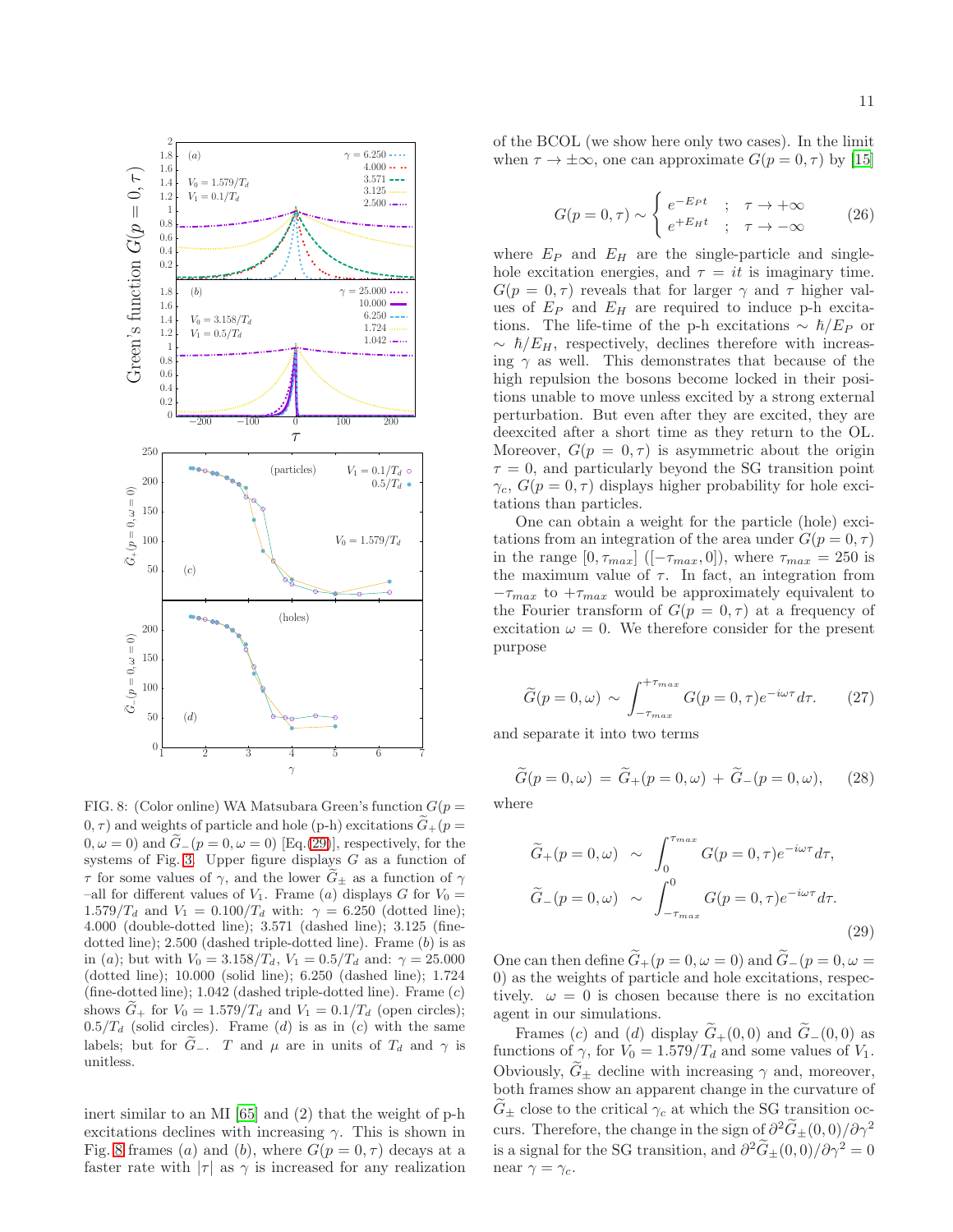

<span id="page-10-1"></span>FIG. 8: (Color online) WA Matsubara Green's function  $G(p =$  $(0, \tau)$  and weights of particle and hole (p-h) excitations  $\tilde{G}_{+}(p=0)$  $(0, \omega = 0)$  and  $\tilde{G}$ <sub>−</sub>( $p = 0, \omega = 0$ ) [Eq.[\(29\)](#page-10-0)], respectively, for the systems of Fig. [3.](#page-5-3) Upper figure displays G as a function of  $\tau$  for some values of  $\gamma$ , and the lower  $\widetilde{G}_{\pm}$  as a function of  $\gamma$ –all for different values of  $V_1$ . Frame (a) displays G for  $V_0$  = 1.579/ $T_d$  and  $V_1 = 0.100/T_d$  with:  $\gamma = 6.250$  (dotted line); 4.000 (double-dotted line); 3.571 (dashed line); 3.125 (finedotted line);  $2.500$  (dashed triple-dotted line). Frame  $(b)$  is as in (a); but with  $V_0 = 3.158/T_d$ ,  $V_1 = 0.5/T_d$  and:  $\gamma = 25.000$ (dotted line); 10.000 (solid line); 6.250 (dashed line); 1.724 (fine-dotted line); 1.042 (dashed triple-dotted line). Frame (c) shows  $\tilde{G}_+$  for  $V_0 = 1.579/T_d$  and  $V_1 = 0.1/T_d$  (open circles);  $0.5/T_d$  (solid circles). Frame (d) is as in (c) with the same labels; but for  $\tilde{G}_-$ . T and  $\mu$  are in units of  $T_d$  and  $\gamma$  is unitless.

inert similar to an MI [\[65\]](#page-16-4) and (2) that the weight of p-h excitations declines with increasing  $\gamma$ . This is shown in Fig. [8](#page-10-1) frames (a) and (b), where  $G(p = 0, \tau)$  decays at a faster rate with  $|\tau|$  as  $\gamma$  is increased for any realization

of the BCOL (we show here only two cases). In the limit when  $\tau \to \pm \infty$ , one can approximate  $G(p = 0, \tau)$  by [\[15](#page-15-4)]

$$
G(p=0,\tau) \sim \begin{cases} e^{-E_P t} & ; \quad \tau \to +\infty \\ e^{+E_H t} & ; \quad \tau \to -\infty \end{cases}
$$
 (26)

where  $E_P$  and  $E_H$  are the single-particle and singlehole excitation energies, and  $\tau = it$  is imaginary time.  $G(p = 0, \tau)$  reveals that for larger  $\gamma$  and  $\tau$  higher values of  $E_P$  and  $E_H$  are required to induce p-h excitations. The life-time of the p-h excitations  $\sim \hbar/E_P$  or  $\sim \hbar/E_H$ , respectively, declines therefore with increasing  $\gamma$  as well. This demonstrates that because of the high repulsion the bosons become locked in their positions unable to move unless excited by a strong external perturbation. But even after they are excited, they are deexcited after a short time as they return to the OL. Moreover,  $G(p = 0, \tau)$  is asymmetric about the origin  $\tau = 0$ , and particularly beyond the SG transition point  $\gamma_c$ ,  $G(p=0,\tau)$  displays higher probability for hole excitations than particles.

One can obtain a weight for the particle (hole) excitations from an integration of the area under  $G(p = 0, \tau)$ in the range  $[0, \tau_{max}]$  ([ $-\tau_{max}, 0$ ]), where  $\tau_{max} = 250$  is the maximum value of  $\tau$ . In fact, an integration from  $-\tau_{max}$  to  $+\tau_{max}$  would be approximately equivalent to the Fourier transform of  $G(p = 0, \tau)$  at a frequency of excitation  $\omega = 0$ . We therefore consider for the present purpose

$$
\widetilde{G}(p=0,\omega) \sim \int_{-\tau_{max}}^{+\tau_{max}} G(p=0,\tau)e^{-i\omega\tau}d\tau.
$$
 (27)

and separate it into two terms

$$
\widetilde{G}(p = 0, \omega) = \widetilde{G}_+(p = 0, \omega) + \widetilde{G}_-(p = 0, \omega), \quad (28)
$$

where

<span id="page-10-0"></span>
$$
\widetilde{G}_{+}(p=0,\omega) \sim \int_{0}^{\tau_{max}} G(p=0,\tau)e^{-i\omega\tau}d\tau,
$$
  

$$
\widetilde{G}_{-}(p=0,\omega) \sim \int_{-\tau_{max}}^{0} G(p=0,\tau)e^{-i\omega\tau}d\tau.
$$
\n(29)

One can then define  $\tilde{G}_+(p=0,\omega=0)$  and  $\tilde{G}_-(p=0,\omega=0)$ 0) as the weights of particle and hole excitations, respectively.  $\omega = 0$  is chosen because there is no excitation agent in our simulations.

Frames (c) and (d) display  $G_{+}(0,0)$  and  $G_{-}(0,0)$  as functions of  $\gamma$ , for  $V_0 = 1.579/T_d$  and some values of  $V_1$ . Obviously,  $\tilde{G}_{\pm}$  decline with increasing  $\gamma$  and, moreover, both frames show an apparent change in the curvature of  $G_{\pm}$  close to the critical  $\gamma_c$  at which the SG transition occurs. Therefore, the change in the sign of  $\partial^2 G_{\pm}(0,0)/\partial \gamma^2$ is a signal for the SG transition, and  $\partial^2 \tilde{G}_{\pm}(0,0)/\partial \gamma^2 = 0$ near  $\gamma = \gamma_c$ .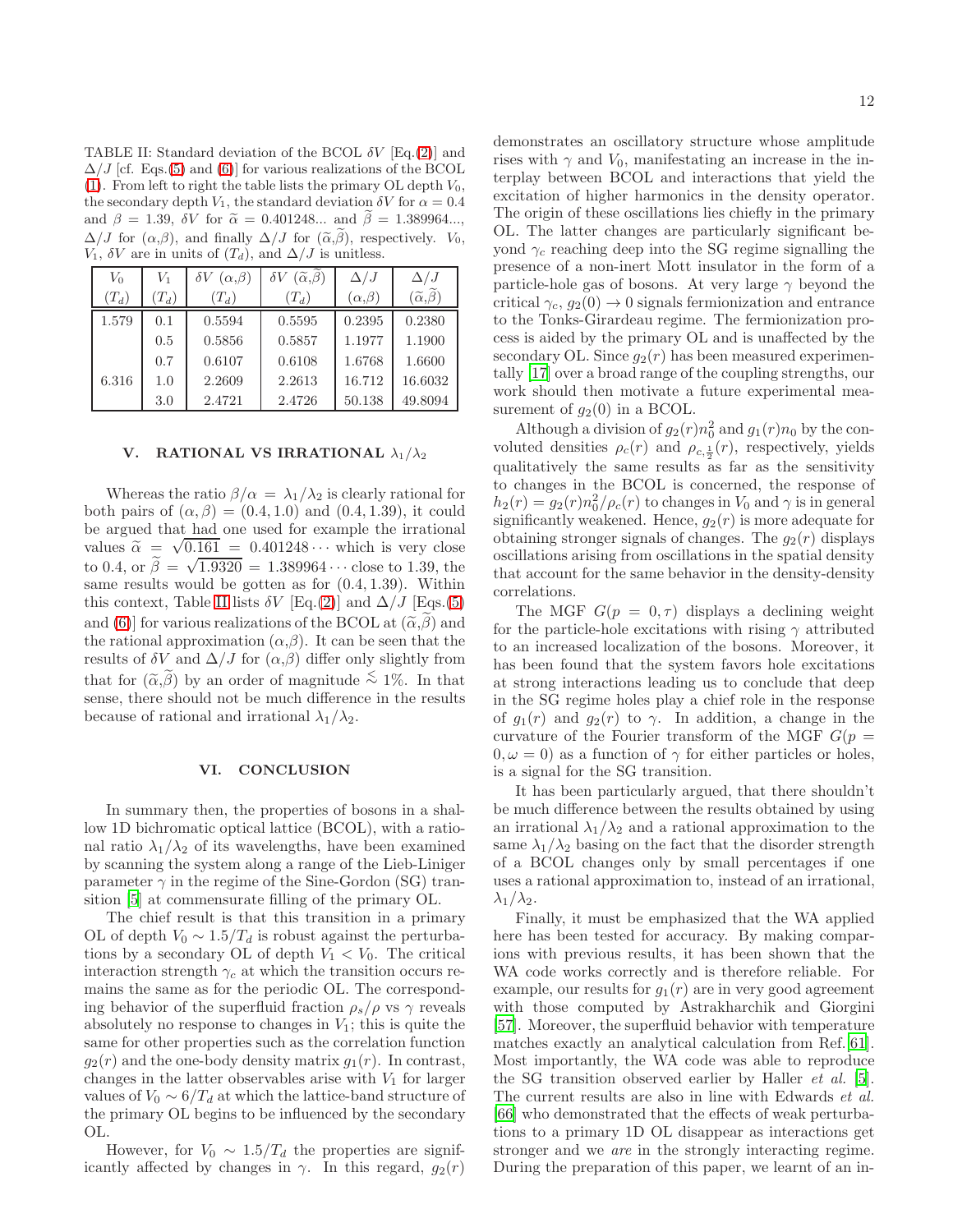<span id="page-11-2"></span>TABLE II: Standard deviation of the BCOL  $\delta V$  [Eq.[\(2\)](#page-2-8)] and  $\Delta/J$  [cf. Eqs.[\(5\)](#page-2-2) and [\(6\)](#page-2-3)] for various realizations of the BCOL [\(1\)](#page-2-7). From left to right the table lists the primary OL depth  $V_0$ , the secondary depth  $V_1$ , the standard deviation  $\delta V$  for  $\alpha = 0.4$ and  $\beta = 1.39$ ,  $\delta V$  for  $\tilde{\alpha} = 0.401248...$  and  $\tilde{\beta} = 1.389964...,$  $\Delta/J$  for  $(\alpha,\beta)$ , and finally  $\Delta/J$  for  $(\tilde{\alpha},\tilde{\beta})$ , respectively.  $V_0$ ,  $V_1$ ,  $\delta V$  are in units of  $(T_d)$ , and  $\Delta/J$  is unitless.

| $V_0$   | Vı      | $(\alpha,\beta)$ | $(\widetilde{\alpha}, \beta)$<br>$\delta V$ | $\Delta/J$       | $\Delta/J$                               |  |  |  |
|---------|---------|------------------|---------------------------------------------|------------------|------------------------------------------|--|--|--|
| $(T_d)$ | $(T_d)$ | $(T_d)$          | $(T_d)$                                     | $(\alpha,\beta)$ | $(\widetilde{\alpha},\widetilde{\beta})$ |  |  |  |
| 1.579   | 0.1     | 0.5594           | 0.5595                                      | 0.2395           | 0.2380                                   |  |  |  |
|         | 0.5     | 0.5856           | 0.5857                                      | 1.1977           | 1.1900                                   |  |  |  |
|         | 0.7     | 0.6107           | 0.6108                                      | 1.6768           | 1.6600                                   |  |  |  |
| 6.316   | 1.0     | 2.2609           | 2.2613                                      | 16.712           | 16.6032                                  |  |  |  |
|         | 3.0     | 2.4721           | 2.4726                                      | 50.138           | 49.8094                                  |  |  |  |

### <span id="page-11-0"></span>V. RATIONAL VS IRRATIONAL  $\lambda_1/\lambda_2$

Whereas the ratio  $\beta/\alpha = \lambda_1/\lambda_2$  is clearly rational for both pairs of  $(\alpha, \beta) = (0.4, 1.0)$  and  $(0.4, 1.39)$ , it could be argued that had one used for example the irrational values  $\tilde{\alpha} = \sqrt{0.161} = 0.401248 \cdots$  which is very close to 0.4, or  $\tilde{\beta} = \sqrt{1.9320} = 1.389964 \cdots$  close to 1.39, the same results would be gotten as for (0.4, 1.39). Within this context, Table [II](#page-11-2) lists  $\delta V$  [Eq.[\(2\)](#page-2-8)] and  $\Delta/J$  [Eqs.[\(5\)](#page-2-2) and [\(6\)](#page-2-3)] for various realizations of the BCOL at  $(\tilde{\alpha}, \tilde{\beta})$  and the rational approximation  $(\alpha, \beta)$ . It can be seen that the results of  $\delta V$  and  $\Delta/J$  for  $(\alpha,\beta)$  differ only slightly from that for  $(\tilde{\alpha}, \tilde{\beta})$  by an order of magnitude  $\lesssim 1\%$ . In that sense, there should not be much difference in the results because of rational and irrational  $\lambda_1/\lambda_2$ .

# <span id="page-11-1"></span>VI. CONCLUSION

In summary then, the properties of bosons in a shallow 1D bichromatic optical lattice (BCOL), with a rational ratio  $\lambda_1/\lambda_2$  of its wavelengths, have been examined by scanning the system along a range of the Lieb-Liniger parameter  $\gamma$  in the regime of the Sine-Gordon (SG) transition [\[5\]](#page-14-2) at commensurate filling of the primary OL.

The chief result is that this transition in a primary OL of depth  $V_0 \sim 1.5/T_d$  is robust against the perturbations by a secondary OL of depth  $V_1 < V_0$ . The critical interaction strength  $\gamma_c$  at which the transition occurs remains the same as for the periodic OL. The corresponding behavior of the superfluid fraction  $\rho_s/\rho$  vs  $\gamma$  reveals absolutely no response to changes in  $V_1$ ; this is quite the same for other properties such as the correlation function  $g_2(r)$  and the one-body density matrix  $g_1(r)$ . In contrast, changes in the latter observables arise with  $V_1$  for larger values of  $V_0 \sim 6/T_d$  at which the lattice-band structure of the primary OL begins to be influenced by the secondary OL.

However, for  $V_0 \sim 1.5/T_d$  the properties are significantly affected by changes in  $\gamma$ . In this regard,  $q_2(r)$ 

demonstrates an oscillatory structure whose amplitude rises with  $\gamma$  and  $V_0$ , manifestating an increase in the interplay between BCOL and interactions that yield the excitation of higher harmonics in the density operator. The origin of these oscillations lies chiefly in the primary OL. The latter changes are particularly significant beyond  $\gamma_c$  reaching deep into the SG regime signalling the presence of a non-inert Mott insulator in the form of a particle-hole gas of bosons. At very large  $\gamma$  beyond the critical  $\gamma_c$ ,  $g_2(0) \rightarrow 0$  signals fermionization and entrance to the Tonks-Girardeau regime. The fermionization process is aided by the primary OL and is unaffected by the secondary OL. Since  $q_2(r)$  has been measured experimentally [\[17\]](#page-15-6) over a broad range of the coupling strengths, our work should then motivate a future experimental measurement of  $g_2(0)$  in a BCOL.

Although a division of  $g_2(r) n_0^2$  and  $g_1(r) n_0$  by the convoluted densities  $\rho_c(r)$  and  $\rho_{c,\frac{1}{2}}(r)$ , respectively, yields qualitatively the same results as far as the sensitivity to changes in the BCOL is concerned, the response of  $h_2(r) = g_2(r) n_0^2 / \rho_c(r)$  to changes in  $V_0$  and  $\gamma$  is in general significantly weakened. Hence,  $g_2(r)$  is more adequate for obtaining stronger signals of changes. The  $q_2(r)$  displays oscillations arising from oscillations in the spatial density that account for the same behavior in the density-density correlations.

The MGF  $G(p = 0, \tau)$  displays a declining weight for the particle-hole excitations with rising  $\gamma$  attributed to an increased localization of the bosons. Moreover, it has been found that the system favors hole excitations at strong interactions leading us to conclude that deep in the SG regime holes play a chief role in the response of  $g_1(r)$  and  $g_2(r)$  to  $\gamma$ . In addition, a change in the curvature of the Fourier transform of the MGF  $G(p =$  $(0, \omega = 0)$  as a function of  $\gamma$  for either particles or holes, is a signal for the SG transition.

It has been particularly argued, that there shouldn't be much difference between the results obtained by using an irrational  $\lambda_1/\lambda_2$  and a rational approximation to the same  $\lambda_1/\lambda_2$  basing on the fact that the disorder strength of a BCOL changes only by small percentages if one uses a rational approximation to, instead of an irrational,  $\lambda_1/\lambda_2$ .

Finally, it must be emphasized that the WA applied here has been tested for accuracy. By making comparions with previous results, it has been shown that the WA code works correctly and is therefore reliable. For example, our results for  $q_1(r)$  are in very good agreement with those computed by Astrakharchik and Giorgini [\[57\]](#page-15-22). Moreover, the superfluid behavior with temperature matches exactly an analytical calculation from Ref.[\[61\]](#page-16-0). Most importantly, the WA code was able to reproduce the SG transition observed earlier by Haller *et al.* [\[5\]](#page-14-2). The current results are also in line with Edwards et al. [\[66\]](#page-16-5) who demonstrated that the effects of weak perturbations to a primary 1D OL disappear as interactions get stronger and we are in the strongly interacting regime. During the preparation of this paper, we learnt of an in-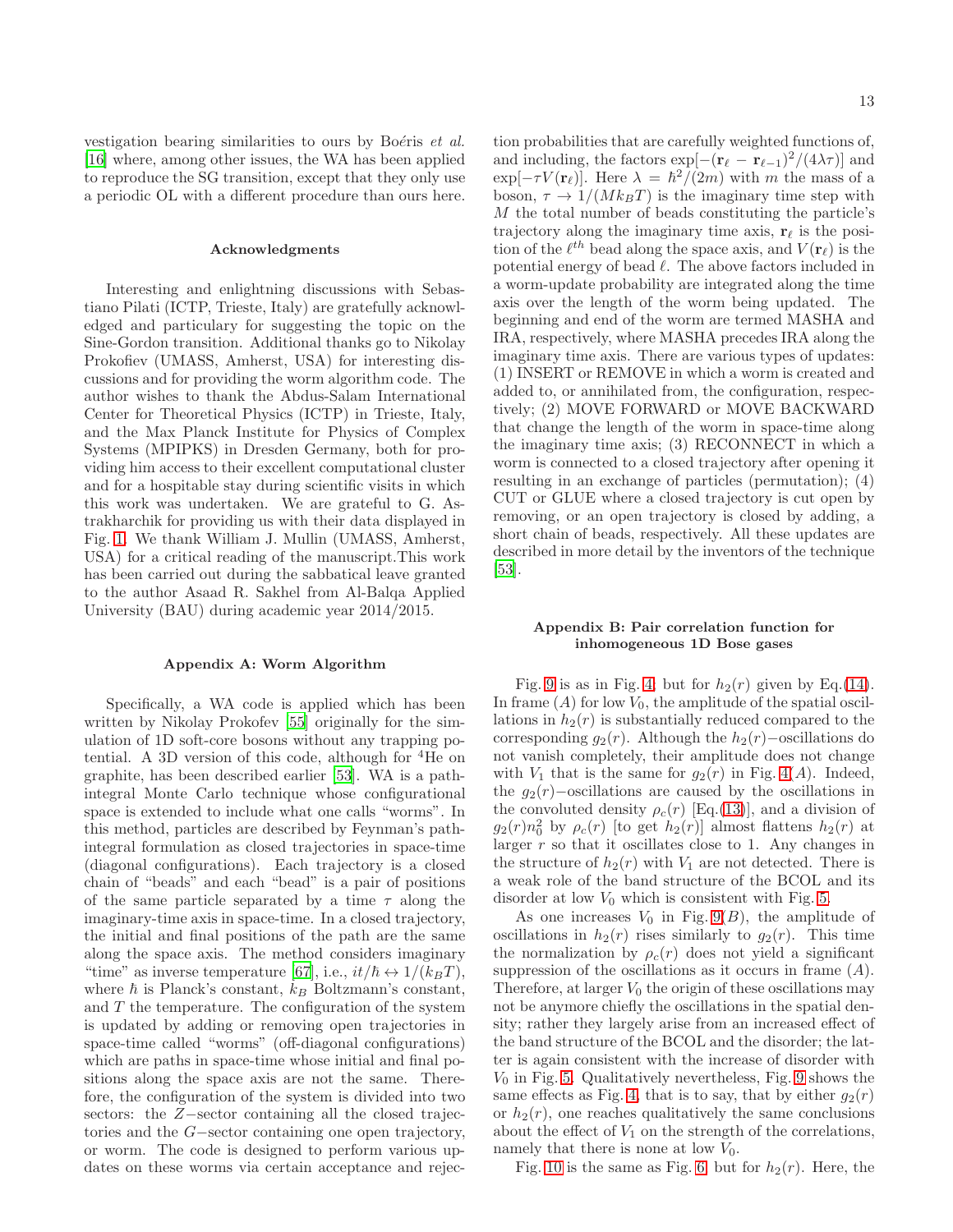vestigation bearing similarities to ours by Boéris *et al.* [\[16\]](#page-15-5) where, among other issues, the WA has been applied to reproduce the SG transition, except that they only use a periodic OL with a different procedure than ours here.

#### Acknowledgments

Interesting and enlightning discussions with Sebastiano Pilati (ICTP, Trieste, Italy) are gratefully acknowledged and particulary for suggesting the topic on the Sine-Gordon transition. Additional thanks go to Nikolay Prokofiev (UMASS, Amherst, USA) for interesting discussions and for providing the worm algorithm code. The author wishes to thank the Abdus-Salam International Center for Theoretical Physics (ICTP) in Trieste, Italy, and the Max Planck Institute for Physics of Complex Systems (MPIPKS) in Dresden Germany, both for providing him access to their excellent computational cluster and for a hospitable stay during scientific visits in which this work was undertaken. We are grateful to G. Astrakharchik for providing us with their data displayed in Fig. [1.](#page-4-2) We thank William J. Mullin (UMASS, Amherst, USA) for a critical reading of the manuscript.This work has been carried out during the sabbatical leave granted to the author Asaad R. Sakhel from Al-Balqa Applied University (BAU) during academic year 2014/2015.

## <span id="page-12-0"></span>Appendix A: Worm Algorithm

Specifically, a WA code is applied which has been written by Nikolay Prokofev [\[55\]](#page-15-19) originally for the simulation of 1D soft-core bosons without any trapping potential. A 3D version of this code, although for  ${}^{4}$ He on graphite, has been described earlier [\[53](#page-15-16)]. WA is a pathintegral Monte Carlo technique whose configurational space is extended to include what one calls "worms". In this method, particles are described by Feynman's pathintegral formulation as closed trajectories in space-time (diagonal configurations). Each trajectory is a closed chain of "beads" and each "bead" is a pair of positions of the same particle separated by a time  $\tau$  along the imaginary-time axis in space-time. In a closed trajectory, the initial and final positions of the path are the same along the space axis. The method considers imaginary "time" as inverse temperature [\[67\]](#page-16-6), i.e.,  $it/\hbar \leftrightarrow 1/(k_BT)$ , where  $\hbar$  is Planck's constant,  $k_B$  Boltzmann's constant, and  $T$  the temperature. The configuration of the system is updated by adding or removing open trajectories in space-time called "worms" (off-diagonal configurations) which are paths in space-time whose initial and final positions along the space axis are not the same. Therefore, the configuration of the system is divided into two sectors: the Z−sector containing all the closed trajectories and the G−sector containing one open trajectory, or worm. The code is designed to perform various updates on these worms via certain acceptance and rejec-

tion probabilities that are carefully weighted functions of, and including, the factors  $\exp[-(\mathbf{r}_{\ell} - \mathbf{r}_{\ell-1})^2/(4\lambda\tau)]$  and  $\exp[-\tau V(\mathbf{r}_{\ell})]$ . Here  $\lambda = \hbar^2/(2m)$  with m the mass of a boson,  $\tau \to 1/(Mk_BT)$  is the imaginary time step with M the total number of beads constituting the particle's trajectory along the imaginary time axis,  $\mathbf{r}_{\ell}$  is the position of the  $\ell^{th}$  bead along the space axis, and  $V(\mathbf{r}_{\ell})$  is the potential energy of bead  $\ell$ . The above factors included in a worm-update probability are integrated along the time axis over the length of the worm being updated. The beginning and end of the worm are termed MASHA and IRA, respectively, where MASHA precedes IRA along the imaginary time axis. There are various types of updates: (1) INSERT or REMOVE in which a worm is created and added to, or annihilated from, the configuration, respectively; (2) MOVE FORWARD or MOVE BACKWARD that change the length of the worm in space-time along the imaginary time axis; (3) RECONNECT in which a worm is connected to a closed trajectory after opening it resulting in an exchange of particles (permutation); (4) CUT or GLUE where a closed trajectory is cut open by removing, or an open trajectory is closed by adding, a short chain of beads, respectively. All these updates are described in more detail by the inventors of the technique [\[53\]](#page-15-16).

## <span id="page-12-1"></span>Appendix B: Pair correlation function for inhomogeneous 1D Bose gases

Fig. [9](#page-13-1) is as in Fig. [4;](#page-7-0) but for  $h_2(r)$  given by Eq.[\(14\)](#page-3-1). In frame  $(A)$  for low  $V_0$ , the amplitude of the spatial oscillations in  $h_2(r)$  is substantially reduced compared to the corresponding  $q_2(r)$ . Although the  $h_2(r)$ –oscillations do not vanish completely, their amplitude does not change with  $V_1$  that is the same for  $g_2(r)$  in Fig. [4\(](#page-7-0)A). Indeed, the  $q_2(r)$ –oscillations are caused by the oscillations in the convoluted density  $\rho_c(r)$  [Eq.[\(13\)](#page-3-3)], and a division of  $g_2(r)n_0^2$  by  $\rho_c(r)$  [to get  $h_2(r)$ ] almost flattens  $h_2(r)$  at larger  $r$  so that it oscillates close to 1. Any changes in the structure of  $h_2(r)$  with  $V_1$  are not detected. There is a weak role of the band structure of the BCOL and its disorder at low  $V_0$  which is consistent with Fig. [5.](#page-8-1)

As one increases  $V_0$  in Fig. [9\(](#page-13-1)B), the amplitude of oscillations in  $h_2(r)$  rises similarly to  $g_2(r)$ . This time the normalization by  $\rho_c(r)$  does not yield a significant suppression of the oscillations as it occurs in frame  $(A)$ . Therefore, at larger  $V_0$  the origin of these oscillations may not be anymore chiefly the oscillations in the spatial density; rather they largely arise from an increased effect of the band structure of the BCOL and the disorder; the latter is again consistent with the increase of disorder with  $V_0$  in Fig. [5.](#page-8-1) Qualitatively nevertheless, Fig. [9](#page-13-1) shows the same effects as Fig. [4,](#page-7-0) that is to say, that by either  $g_2(r)$ or  $h_2(r)$ , one reaches qualitatively the same conclusions about the effect of  $V_1$  on the strength of the correlations, namely that there is none at low  $V_0$ .

Fig. [10](#page-14-8) is the same as Fig. [6;](#page-8-0) but for  $h_2(r)$ . Here, the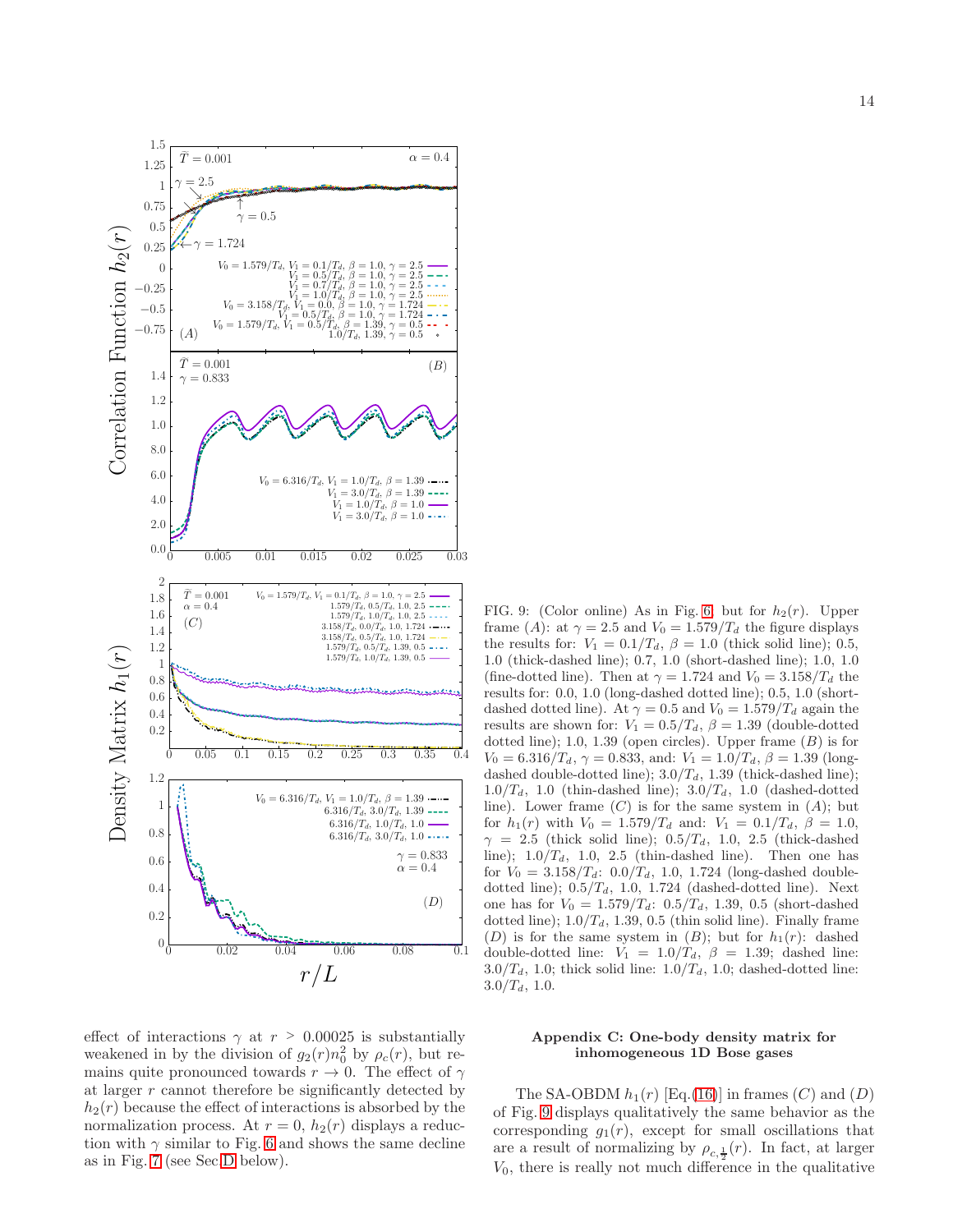

effect of interactions  $\gamma$  at  $r > 0.00025$  is substantially weakened in by the division of  $g_2(r)n_0^2$  by  $\rho_c(r)$ , but remains quite pronounced towards  $r \to 0$ . The effect of  $\gamma$ at larger r cannot therefore be significantly detected by  $h_2(r)$  because the effect of interactions is absorbed by the normalization process. At  $r = 0$ ,  $h_2(r)$  displays a reduction with  $\gamma$  similar to Fig. [6](#page-8-0) and shows the same decline as in Fig. [7](#page-9-0) (see Sec[.D](#page-14-7) below).

<span id="page-13-1"></span>FIG. 9: (Color online) As in Fig. [6;](#page-8-0) but for  $h_2(r)$ . Upper frame (A): at  $\gamma = 2.5$  and  $V_0 = 1.579/T_d$  the figure displays the results for:  $V_1 = 0.1/T_d$ ,  $\beta = 1.0$  (thick solid line); 0.5, 1.0 (thick-dashed line); 0.7, 1.0 (short-dashed line); 1.0, 1.0 (fine-dotted line). Then at  $\gamma = 1.724$  and  $V_0 = 3.158/T_d$  the results for: 0.0, 1.0 (long-dashed dotted line); 0.5, 1.0 (shortdashed dotted line). At  $\gamma = 0.5$  and  $V_0 = 1.579/T_d$  again the results are shown for:  $V_1 = 0.5/T_d$ ,  $\beta = 1.39$  (double-dotted dotted line); 1.0, 1.39 (open circles). Upper frame  $(B)$  is for  $V_0 = 6.316/T_d$ ,  $\gamma = 0.833$ , and:  $V_1 = 1.0/T_d$ ,  $\beta = 1.39$  (longdashed double-dotted line);  $3.0/T_d$ , 1.39 (thick-dashed line);  $1.0/T_d$ , 1.0 (thin-dashed line);  $3.0/T_d$ , 1.0 (dashed-dotted line). Lower frame  $(C)$  is for the same system in  $(A)$ ; but for  $h_1(r)$  with  $V_0 = 1.579/T_d$  and:  $V_1 = 0.1/T_d$ ,  $\beta = 1.0$ ,  $\gamma = 2.5$  (thick solid line); 0.5/T<sub>d</sub>, 1.0, 2.5 (thick-dashed line);  $1.0/T<sub>d</sub>$ , 1.0, 2.5 (thin-dashed line). Then one has for  $V_0 = 3.158/T_d$ : 0.0/ $T_d$ , 1.0, 1.724 (long-dashed doubledotted line);  $0.5/T_d$ , 1.0, 1.724 (dashed-dotted line). Next one has for  $V_0 = 1.579/T_d$ : 0.5/T<sub>d</sub>, 1.39, 0.5 (short-dashed dotted line);  $1.0/T_d$ , 1.39, 0.5 (thin solid line). Finally frame (D) is for the same system in  $(B)$ ; but for  $h_1(r)$ : dashed double-dotted line:  $V_1 = 1.0/T_d$ ,  $\beta = 1.39$ ; dashed line:  $3.0/T_d$ , 1.0; thick solid line:  $1.0/T_d$ , 1.0; dashed-dotted line:  $3.0/T_d$ , 1.0.

# <span id="page-13-0"></span>Appendix C: One-body density matrix for inhomogeneous 1D Bose gases

The SA-OBDM  $h_1(r)$  [Eq.[\(16\)](#page-3-2)] in frames  $(C)$  and  $(D)$ of Fig. [9](#page-13-1) displays qualitatively the same behavior as the corresponding  $g_1(r)$ , except for small oscillations that are a result of normalizing by  $\rho_{c,\frac{1}{2}}(r)$ . In fact, at larger  $V_0$ , there is really not much difference in the qualitative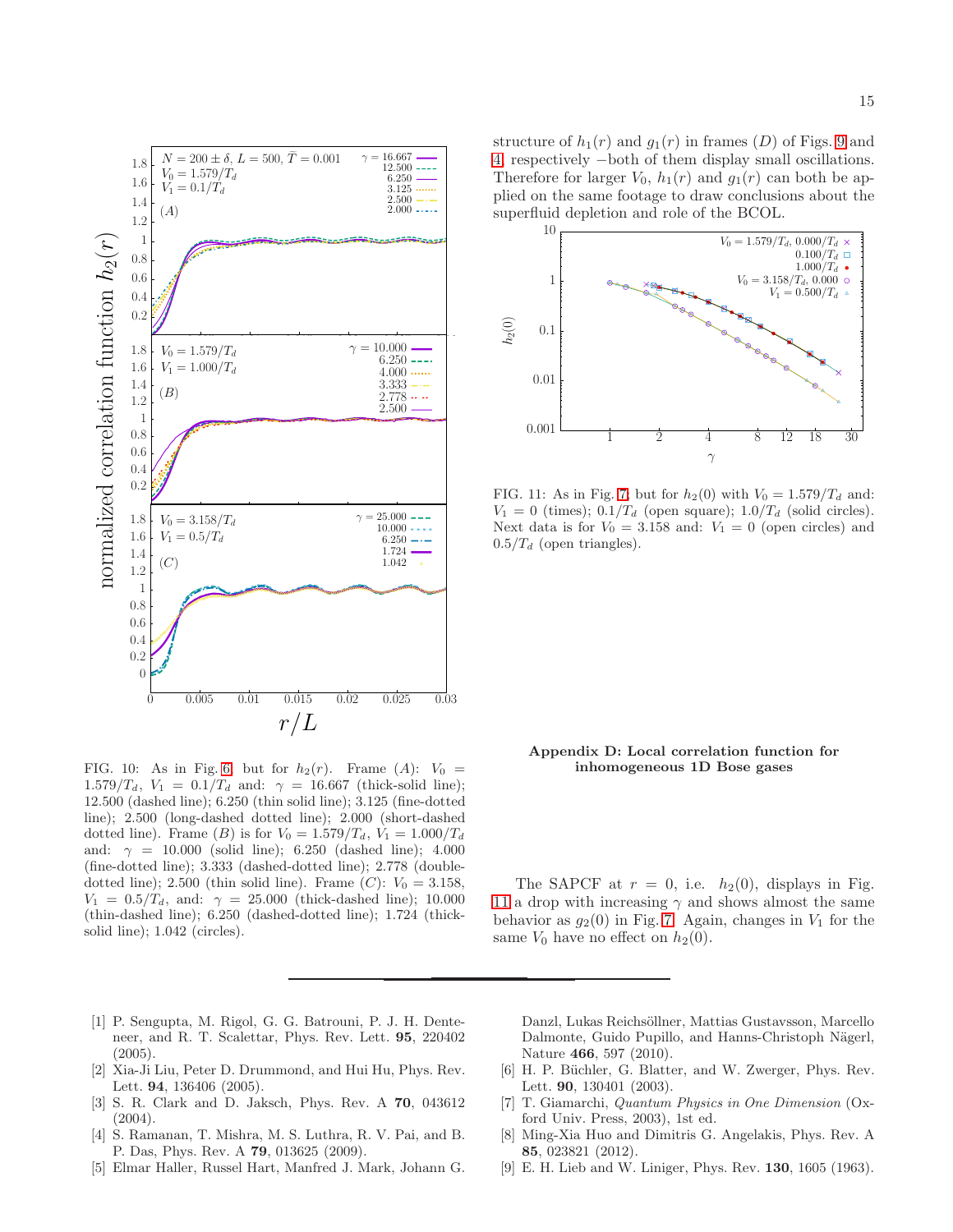

<span id="page-14-8"></span>FIG. 10: As in Fig. [6;](#page-8-0) but for  $h_2(r)$ . Frame (A):  $V_0 =$ 1.579/T<sub>d</sub>,  $V_1 = 0.1/T_d$  and:  $\gamma = 16.667$  (thick-solid line); 12.500 (dashed line); 6.250 (thin solid line); 3.125 (fine-dotted line); 2.500 (long-dashed dotted line); 2.000 (short-dashed dotted line). Frame (B) is for  $V_0 = 1.579/T_d$ ,  $V_1 = 1.000/T_d$ and:  $\gamma = 10.000$  (solid line); 6.250 (dashed line); 4.000 (fine-dotted line); 3.333 (dashed-dotted line); 2.778 (doubledotted line); 2.500 (thin solid line). Frame  $(C)$ :  $V_0 = 3.158$ ,  $V_1 = 0.5/T_d$ , and:  $\gamma = 25.000$  (thick-dashed line); 10.000 (thin-dashed line); 6.250 (dashed-dotted line); 1.724 (thicksolid line); 1.042 (circles).

structure of  $h_1(r)$  and  $g_1(r)$  in frames (D) of Figs. [9](#page-13-1) and [4,](#page-7-0) respectively −both of them display small oscillations. Therefore for larger  $V_0$ ,  $h_1(r)$  and  $g_1(r)$  can both be applied on the same footage to draw conclusions about the superfluid depletion and role of the BCOL.



<span id="page-14-9"></span>FIG. 11: As in Fig. [7;](#page-9-0) but for  $h_2(0)$  with  $V_0 = 1.579/T_d$  and:  $V_1 = 0$  (times);  $0.1/T_d$  (open square);  $1.0/T_d$  (solid circles). Next data is for  $V_0 = 3.158$  and:  $V_1 = 0$  (open circles) and  $0.5/T_d$  (open triangles).

# <span id="page-14-7"></span>Appendix D: Local correlation function for inhomogeneous 1D Bose gases

The SAPCF at  $r = 0$ , i.e.  $h_2(0)$ , displays in Fig. [11](#page-14-9) a drop with increasing  $\gamma$  and shows almost the same behavior as  $g_2(0)$  in Fig. [7.](#page-9-0) Again, changes in  $V_1$  for the same  $V_0$  have no effect on  $h_2(0)$ .

- <span id="page-14-0"></span>[1] P. Sengupta, M. Rigol, G. G. Batrouni, P. J. H. Denteneer, and R. T. Scalettar, Phys. Rev. Lett. 95, 220402  $(2005).$
- [2] Xia-Ji Liu, Peter D. Drummond, and Hui Hu, Phys. Rev. Lett. 94, 136406 (2005).
- [3] S. R. Clark and D. Jaksch, Phys. Rev. A 70, 043612 (2004).
- <span id="page-14-1"></span>[4] S. Ramanan, T. Mishra, M. S. Luthra, R. V. Pai, and B. P. Das, Phys. Rev. A 79, 013625 (2009).
- <span id="page-14-2"></span>[5] Elmar Haller, Russel Hart, Manfred J. Mark, Johann G.

Danzl, Lukas Reichsöllner, Mattias Gustavsson, Marcello Dalmonte, Guido Pupillo, and Hanns-Christoph Nägerl, Nature 466, 597 (2010).

- <span id="page-14-3"></span>[6] H. P. Büchler, G. Blatter, and W. Zwerger, Phys. Rev. Lett. 90, 130401 (2003).
- <span id="page-14-4"></span>[7] T. Giamarchi, *Quantum Physics in One Dimension* (Oxford Univ. Press, 2003), 1st ed.
- <span id="page-14-5"></span>[8] Ming-Xia Huo and Dimitris G. Angelakis, Phys. Rev. A 85, 023821 (2012).
- <span id="page-14-6"></span>[9] E. H. Lieb and W. Liniger, Phys. Rev. 130, 1605 (1963).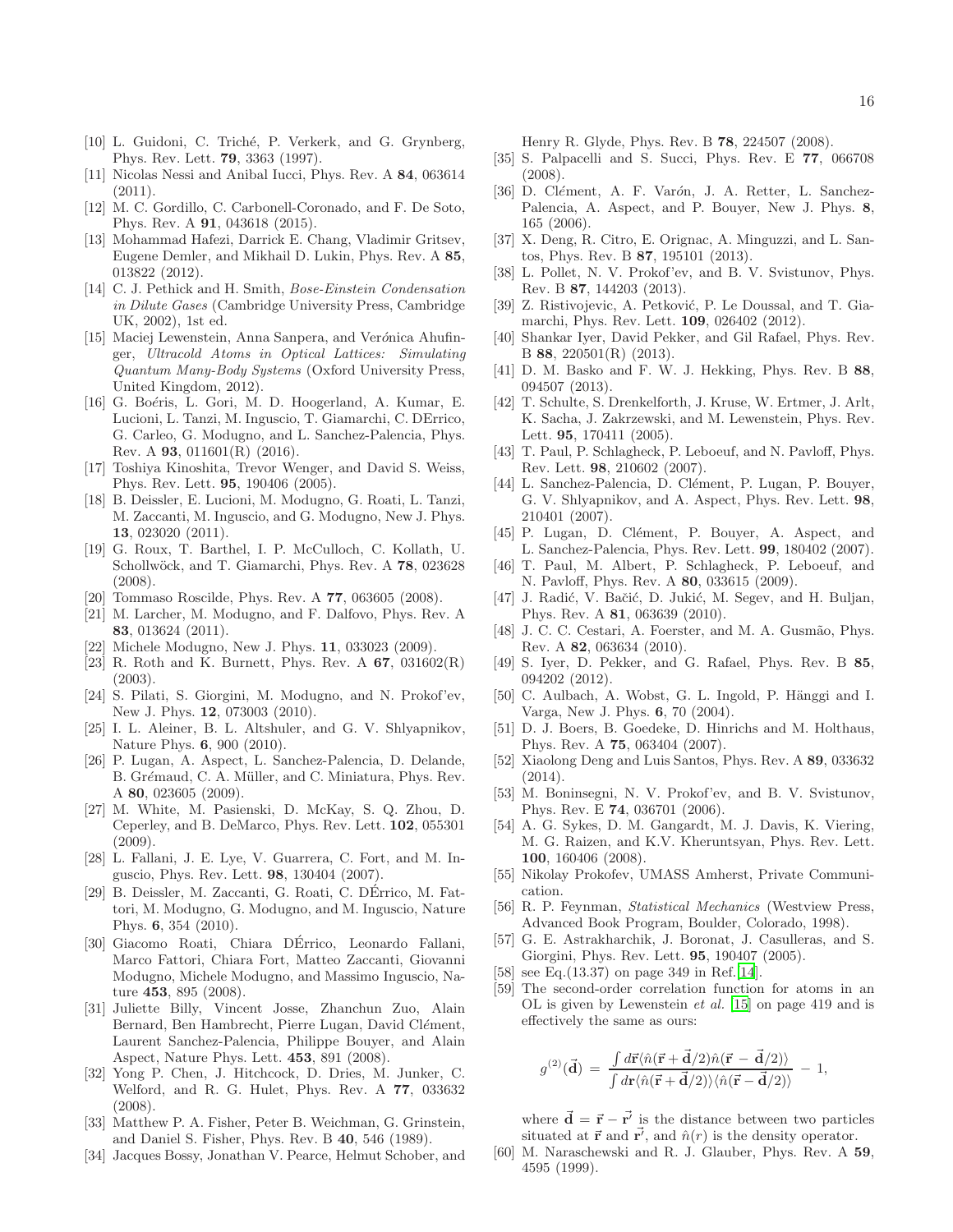- <span id="page-15-0"></span>[10] L. Guidoni, C. Triché, P. Verkerk, and G. Grynberg, Phys. Rev. Lett. 79, 3363 (1997).
- <span id="page-15-8"></span>[11] Nicolas Nessi and Anibal Iucci, Phys. Rev. A 84, 063614  $(2011).$
- <span id="page-15-1"></span>[12] M. C. Gordillo, C. Carbonell-Coronado, and F. De Soto, Phys. Rev. A 91, 043618 (2015).
- <span id="page-15-2"></span>[13] Mohammad Hafezi, Darrick E. Chang, Vladimir Gritsev, Eugene Demler, and Mikhail D. Lukin, Phys. Rev. A 85, 013822 (2012).
- <span id="page-15-3"></span>[14] C. J. Pethick and H. Smith, *Bose-Einstein Condensation in Dilute Gases* (Cambridge University Press, Cambridge UK, 2002), 1st ed.
- <span id="page-15-4"></span>[15] Maciej Lewenstein, Anna Sanpera, and Verónica Ahufinger, *Ultracold Atoms in Optical Lattices: Simulating Quantum Many-Body Systems* (Oxford University Press, United Kingdom, 2012).
- <span id="page-15-5"></span>[16] G. Boéris, L. Gori, M. D. Hoogerland, A. Kumar, E. Lucioni, L. Tanzi, M. Inguscio, T. Giamarchi, C. DErrico, G. Carleo, G. Modugno, and L. Sanchez-Palencia, Phys. Rev. A 93, 011601(R) (2016).
- <span id="page-15-6"></span>[17] Toshiya Kinoshita, Trevor Wenger, and David S. Weiss, Phys. Rev. Lett. 95, 190406 (2005).
- <span id="page-15-7"></span>[18] B. Deissler, E. Lucioni, M. Modugno, G. Roati, L. Tanzi, M. Zaccanti, M. Inguscio, and G. Modugno, New J. Phys. 13, 023020 (2011).
- <span id="page-15-9"></span>[19] G. Roux, T. Barthel, I. P. McCulloch, C. Kollath, U. Schollwöck, and T. Giamarchi, Phys. Rev. A 78, 023628 (2008).
- <span id="page-15-13"></span>[20] Tommaso Roscilde, Phys. Rev. A 77, 063605 (2008).
- <span id="page-15-11"></span>[21] M. Larcher, M. Modugno, and F. Dalfovo, Phys. Rev. A 83, 013624 (2011).
- <span id="page-15-12"></span>[22] Michele Modugno, New J. Phys. 11, 033023 (2009).
- <span id="page-15-10"></span>[23] R. Roth and K. Burnett, Phys. Rev. A  $67$ ,  $031602(R)$ (2003).
- <span id="page-15-14"></span>[24] S. Pilati, S. Giorgini, M. Modugno, and N. Prokof'ev, New J. Phys. 12, 073003 (2010).
- [25] I. L. Aleiner, B. L. Altshuler, and G. V. Shlyapnikov, Nature Phys. 6, 900 (2010).
- [26] P. Lugan, A. Aspect, L. Sanchez-Palencia, D. Delande, B. Grémaud, C. A. Müller, and C. Miniatura, Phys. Rev. A 80, 023605 (2009).
- [27] M. White, M. Pasienski, D. McKay, S. Q. Zhou, D. Ceperley, and B. DeMarco, Phys. Rev. Lett. 102, 055301 (2009).
- <span id="page-15-20"></span>[28] L. Fallani, J. E. Lye, V. Guarrera, C. Fort, and M. Inguscio, Phys. Rev. Lett. 98, 130404 (2007).
- <span id="page-15-18"></span>[29] B. Deissler, M. Zaccanti, G. Roati, C. DErrico, M. Fat- ´ tori, M. Modugno, G. Modugno, and M. Inguscio, Nature Phys. 6, 354 (2010).
- [30] Giacomo Roati, Chiara DÉrrico, Leonardo Fallani, Marco Fattori, Chiara Fort, Matteo Zaccanti, Giovanni Modugno, Michele Modugno, and Massimo Inguscio, Nature 453, 895 (2008).
- [31] Juliette Billy, Vincent Josse, Zhanchun Zuo, Alain Bernard, Ben Hambrecht, Pierre Lugan, David Clément, Laurent Sanchez-Palencia, Philippe Bouyer, and Alain Aspect, Nature Phys. Lett. 453, 891 (2008).
- [32] Yong P. Chen, J. Hitchcock, D. Dries, M. Junker, C. Welford, and R. G. Hulet, Phys. Rev. A 77, 033632 (2008).
- [33] Matthew P. A. Fisher, Peter B. Weichman, G. Grinstein, and Daniel S. Fisher, Phys. Rev. B 40, 546 (1989).
- [34] Jacques Bossy, Jonathan V. Pearce, Helmut Schober, and

Henry R. Glyde, Phys. Rev. B 78, 224507 (2008).

- [35] S. Palpacelli and S. Succi, Phys. Rev. E 77, 066708 (2008).
- [36] D. Clément, A. F. Varón, J. A. Retter, L. Sanchez-Palencia, A. Aspect, and P. Bouyer, New J. Phys. 8, 165 (2006).
- [37] X. Deng, R. Citro, E. Orignac, A. Minguzzi, and L. Santos, Phys. Rev. B 87, 195101 (2013).
- [38] L. Pollet, N. V. Prokof'ev, and B. V. Svistunov, Phys. Rev. B 87, 144203 (2013).
- [39] Z. Ristivojevic, A. Petković, P. Le Doussal, and T. Giamarchi, Phys. Rev. Lett. 109, 026402 (2012).
- [40] Shankar Iyer, David Pekker, and Gil Rafael, Phys. Rev. B 88, 220501(R) (2013).
- [41] D. M. Basko and F. W. J. Hekking, Phys. Rev. B 88, 094507 (2013).
- [42] T. Schulte, S. Drenkelforth, J. Kruse, W. Ertmer, J. Arlt, K. Sacha, J. Zakrzewski, and M. Lewenstein, Phys. Rev. Lett. 95, 170411 (2005).
- [43] T. Paul, P. Schlagheck, P. Leboeuf, and N. Pavloff, Phys. Rev. Lett. 98, 210602 (2007).
- [44] L. Sanchez-Palencia, D. Clément, P. Lugan, P. Bouyer, G. V. Shlyapnikov, and A. Aspect, Phys. Rev. Lett. 98, 210401 (2007).
- [45] P. Lugan, D. Clément, P. Bouyer, A. Aspect, and L. Sanchez-Palencia, Phys. Rev. Lett. 99, 180402 (2007).
- [46] T. Paul, M. Albert, P. Schlagheck, P. Leboeuf, and N. Pavloff, Phys. Rev. A 80, 033615 (2009).
- [47] J. Radić, V. Bačić, D. Jukić, M. Segev, and H. Buljan, Phys. Rev. A 81, 063639 (2010).
- [48] J. C. C. Cestari, A. Foerster, and M. A. Gusmão, Phys. Rev. A 82, 063634 (2010).
- [49] S. Iyer, D. Pekker, and G. Rafael, Phys. Rev. B 85, 094202 (2012).
- [50] C. Aulbach, A. Wobst, G. L. Ingold, P. Hänggi and I. Varga, New J. Phys. 6, 70 (2004).
- <span id="page-15-26"></span>[51] D. J. Boers, B. Goedeke, D. Hinrichs and M. Holthaus, Phys. Rev. A 75, 063404 (2007).
- <span id="page-15-15"></span>[52] Xiaolong Deng and Luis Santos, Phys. Rev. A 89, 033632  $(2014)$ .
- <span id="page-15-16"></span>[53] M. Boninsegni, N. V. Prokof'ev, and B. V. Svistunov, Phys. Rev. E 74, 036701 (2006).
- <span id="page-15-17"></span>[54] A. G. Sykes, D. M. Gangardt, M. J. Davis, K. Viering, M. G. Raizen, and K.V. Kheruntsyan, Phys. Rev. Lett. 100, 160406 (2008).
- <span id="page-15-19"></span>[55] Nikolay Prokofev, UMASS Amherst, Private Communication.
- <span id="page-15-21"></span>[56] R. P. Feynman, *Statistical Mechanics* (Westview Press, Advanced Book Program, Boulder, Colorado, 1998).
- <span id="page-15-22"></span>[57] G. E. Astrakharchik, J. Boronat, J. Casulleras, and S. Giorgini, Phys. Rev. Lett. 95, 190407 (2005).
- <span id="page-15-23"></span>[58] see Eq.(13.37) on page 349 in Ref.[\[14](#page-15-3)].
- <span id="page-15-24"></span>[59] The second-order correlation function for atoms in an OL is given by Lewenstein *et al.* [\[15\]](#page-15-4) on page 419 and is effectively the same as ours:

$$
g^{(2)}(\vec{\mathbf{d}}) = \frac{\int d\vec{\mathbf{r}} \langle \hat{n}(\vec{\mathbf{r}} + \vec{\mathbf{d}}/2)\hat{n}(\vec{\mathbf{r}} - \vec{\mathbf{d}}/2)\rangle}{\int d\mathbf{r} \langle \hat{n}(\vec{\mathbf{r}} + \vec{\mathbf{d}}/2)\rangle \langle \hat{n}(\vec{\mathbf{r}} - \vec{\mathbf{d}}/2)\rangle} - 1,
$$

where  $\vec{\mathbf{d}} = \vec{\mathbf{r}} - \vec{\mathbf{r}}'$  is the distance between two particles situated at  $\vec{r}$  and  $\vec{r'}$ , and  $\hat{n}(r)$  is the density operator.

<span id="page-15-25"></span>[60] M. Naraschewski and R. J. Glauber, Phys. Rev. A 59, 4595 (1999).